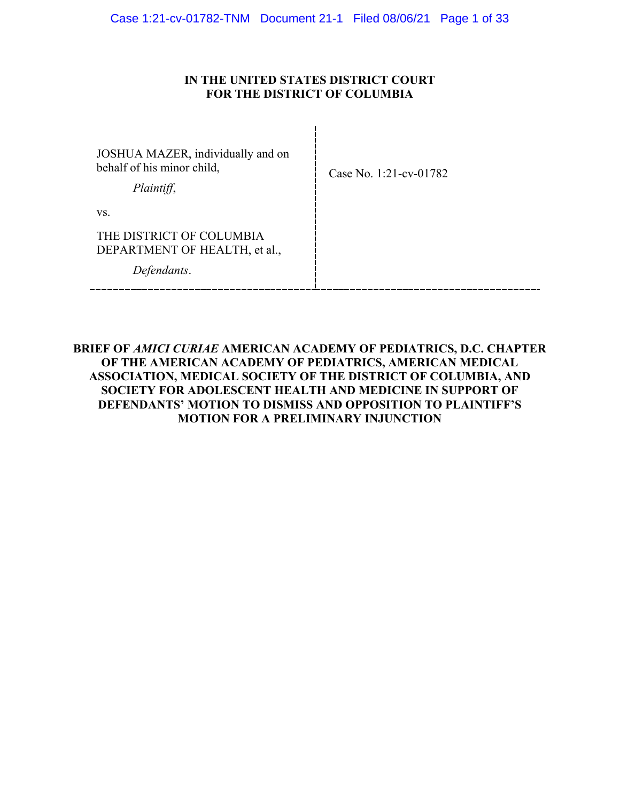## **IN THE UNITED STATES DISTRICT COURT FOR THE DISTRICT OF COLUMBIA**

| JOSHUA MAZER, individually and on<br>behalf of his minor child,<br>Plaintiff, | Case No. 1:21-cv-01782 |
|-------------------------------------------------------------------------------|------------------------|
| VS.                                                                           |                        |
| THE DISTRICT OF COLUMBIA<br>DEPARTMENT OF HEALTH, et al.,<br>Defendants.      |                        |
|                                                                               |                        |

## **BRIEF OF** *AMICI CURIAE* **AMERICAN ACADEMY OF PEDIATRICS, D.C. CHAPTER OF THE AMERICAN ACADEMY OF PEDIATRICS, AMERICAN MEDICAL ASSOCIATION, MEDICAL SOCIETY OF THE DISTRICT OF COLUMBIA, AND SOCIETY FOR ADOLESCENT HEALTH AND MEDICINE IN SUPPORT OF DEFENDANTS' MOTION TO DISMISS AND OPPOSITION TO PLAINTIFF'S MOTION FOR A PRELIMINARY INJUNCTION**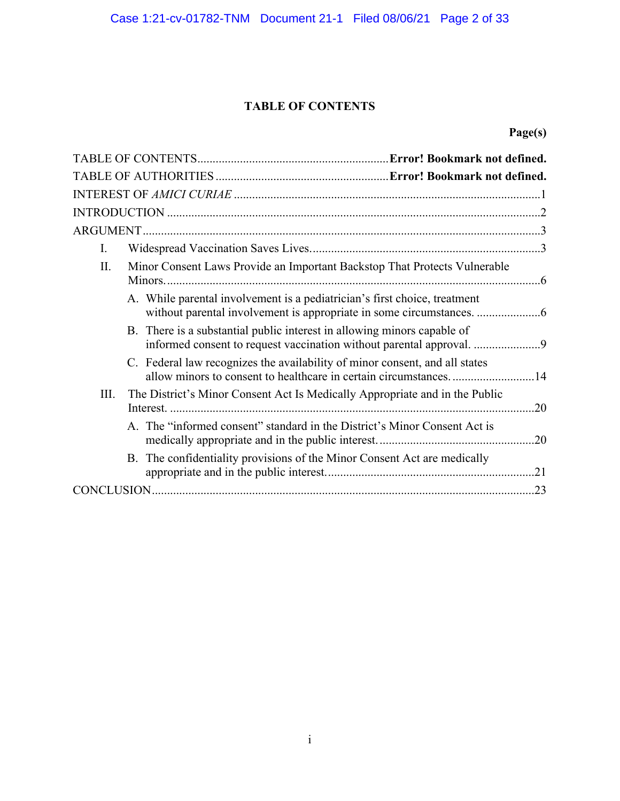## **TABLE OF CONTENTS**

## **Page(s)**

| I.                                                                                                                                            |  |
|-----------------------------------------------------------------------------------------------------------------------------------------------|--|
| II.<br>Minor Consent Laws Provide an Important Backstop That Protects Vulnerable                                                              |  |
| A. While parental involvement is a pediatrician's first choice, treatment                                                                     |  |
| B. There is a substantial public interest in allowing minors capable of<br>informed consent to request vaccination without parental approval. |  |
| C. Federal law recognizes the availability of minor consent, and all states                                                                   |  |
| III.<br>The District's Minor Consent Act Is Medically Appropriate and in the Public                                                           |  |
| A. The "informed consent" standard in the District's Minor Consent Act is                                                                     |  |
| B. The confidentiality provisions of the Minor Consent Act are medically                                                                      |  |
|                                                                                                                                               |  |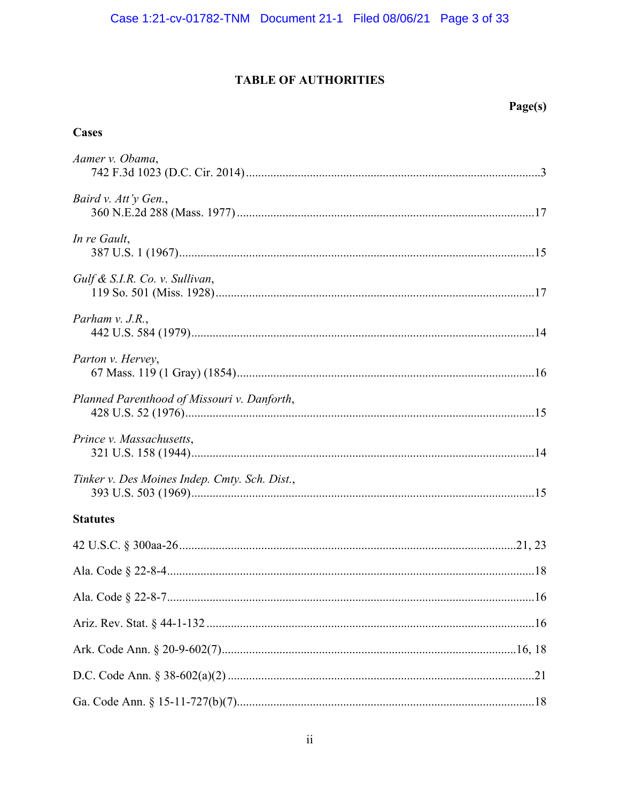## **TABLE OF AUTHORITIES**

## **Cases**

| Aamer v. Obama,                               |
|-----------------------------------------------|
| Baird v. Att'y Gen.,                          |
| In re Gault,                                  |
| Gulf & S.I.R. Co. v. Sullivan,                |
| Parham $v.$ J.R.,                             |
| Parton v. Hervey,                             |
| Planned Parenthood of Missouri v. Danforth,   |
| Prince v. Massachusetts,                      |
| Tinker v. Des Moines Indep. Cmty. Sch. Dist., |
| <b>Statutes</b>                               |
|                                               |
|                                               |
|                                               |
|                                               |
|                                               |
|                                               |
|                                               |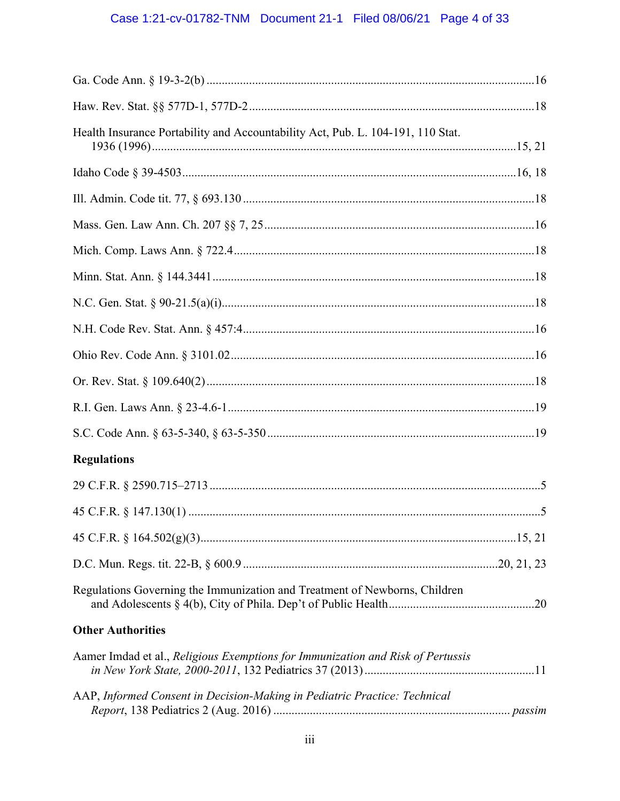# Case 1:21-cv-01782-TNM Document 21-1 Filed 08/06/21 Page 4 of 33

| Health Insurance Portability and Accountability Act, Pub. L. 104-191, 110 Stat. |  |
|---------------------------------------------------------------------------------|--|
|                                                                                 |  |
|                                                                                 |  |
|                                                                                 |  |
|                                                                                 |  |
|                                                                                 |  |
|                                                                                 |  |
|                                                                                 |  |
|                                                                                 |  |
|                                                                                 |  |
|                                                                                 |  |
|                                                                                 |  |
| <b>Regulations</b>                                                              |  |
|                                                                                 |  |
|                                                                                 |  |
|                                                                                 |  |
|                                                                                 |  |
| Regulations Governing the Immunization and Treatment of Newborns, Children      |  |
| <b>Other Authorities</b>                                                        |  |
| Aamer Imdad et al., Religious Exemptions for Immunization and Risk of Pertussis |  |
| AAP, Informed Consent in Decision-Making in Pediatric Practice: Technical       |  |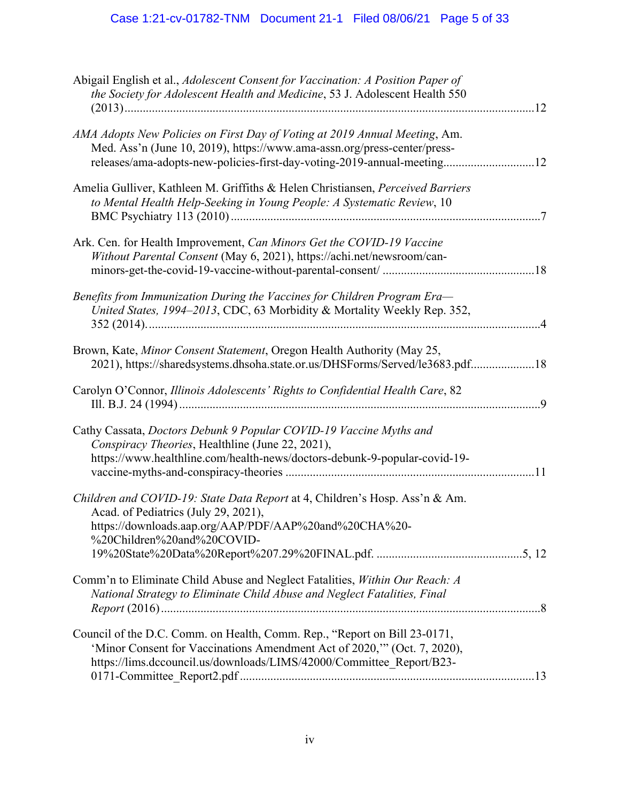| Abigail English et al., Adolescent Consent for Vaccination: A Position Paper of<br>the Society for Adolescent Health and Medicine, 53 J. Adolescent Health 550                                                                    |  |
|-----------------------------------------------------------------------------------------------------------------------------------------------------------------------------------------------------------------------------------|--|
| AMA Adopts New Policies on First Day of Voting at 2019 Annual Meeting, Am.<br>Med. Ass'n (June 10, 2019), https://www.ama-assn.org/press-center/press-<br>releases/ama-adopts-new-policies-first-day-voting-2019-annual-meeting12 |  |
| Amelia Gulliver, Kathleen M. Griffiths & Helen Christiansen, Perceived Barriers<br>to Mental Health Help-Seeking in Young People: A Systematic Review, 10                                                                         |  |
| Ark. Cen. for Health Improvement, Can Minors Get the COVID-19 Vaccine<br>Without Parental Consent (May 6, 2021), https://achi.net/newsroom/can-                                                                                   |  |
| Benefits from Immunization During the Vaccines for Children Program Era-<br>United States, 1994-2013, CDC, 63 Morbidity & Mortality Weekly Rep. 352,                                                                              |  |
| Brown, Kate, Minor Consent Statement, Oregon Health Authority (May 25,<br>2021), https://sharedsystems.dhsoha.state.or.us/DHSForms/Served/le3683.pdf18                                                                            |  |
| Carolyn O'Connor, Illinois Adolescents' Rights to Confidential Health Care, 82                                                                                                                                                    |  |
| Cathy Cassata, Doctors Debunk 9 Popular COVID-19 Vaccine Myths and<br>Conspiracy Theories, Healthline (June 22, 2021),<br>https://www.healthline.com/health-news/doctors-debunk-9-popular-covid-19-                               |  |
| Children and COVID-19: State Data Report at 4, Children's Hosp. Ass'n & Am.<br>Acad. of Pediatrics (July 29, 2021),<br>https://downloads.aap.org/AAP/PDF/AAP%20and%20CHA%20-<br>%20Children%20and%20COVID-                        |  |
| Comm'n to Eliminate Child Abuse and Neglect Fatalities, Within Our Reach: A<br>National Strategy to Eliminate Child Abuse and Neglect Fatalities, Final                                                                           |  |
| Council of the D.C. Comm. on Health, Comm. Rep., "Report on Bill 23-0171,<br>'Minor Consent for Vaccinations Amendment Act of 2020," (Oct. 7, 2020),<br>https://lims.dccouncil.us/downloads/LIMS/42000/Committee_Report/B23-      |  |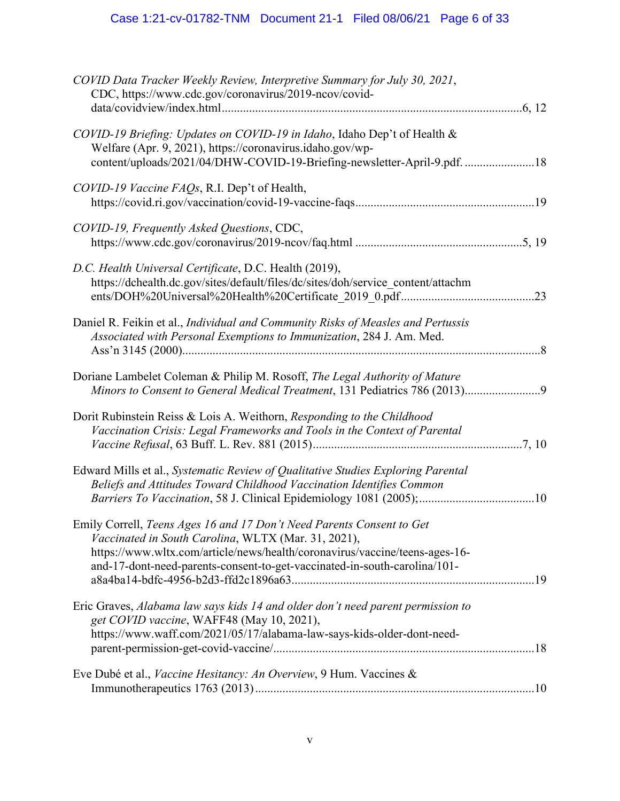# Case 1:21-cv-01782-TNM Document 21-1 Filed 08/06/21 Page 6 of 33

| COVID Data Tracker Weekly Review, Interpretive Summary for July 30, 2021,<br>CDC, https://www.cdc.gov/coronavirus/2019-ncov/covid-                                                                                                                                                       |  |
|------------------------------------------------------------------------------------------------------------------------------------------------------------------------------------------------------------------------------------------------------------------------------------------|--|
| COVID-19 Briefing: Updates on COVID-19 in Idaho, Idaho Dep't of Health &<br>Welfare (Apr. 9, 2021), https://coronavirus.idaho.gov/wp-<br>content/uploads/2021/04/DHW-COVID-19-Briefing-newsletter-April-9.pdf. 18                                                                        |  |
| COVID-19 Vaccine FAQs, R.I. Dep't of Health,                                                                                                                                                                                                                                             |  |
| COVID-19, Frequently Asked Questions, CDC,                                                                                                                                                                                                                                               |  |
| D.C. Health Universal Certificate, D.C. Health (2019),<br>https://dchealth.dc.gov/sites/default/files/dc/sites/doh/service_content/attachm                                                                                                                                               |  |
| Daniel R. Feikin et al., Individual and Community Risks of Measles and Pertussis<br>Associated with Personal Exemptions to Immunization, 284 J. Am. Med.                                                                                                                                 |  |
| Doriane Lambelet Coleman & Philip M. Rosoff, The Legal Authority of Mature<br>Minors to Consent to General Medical Treatment, 131 Pediatrics 786 (2013)9                                                                                                                                 |  |
| Dorit Rubinstein Reiss & Lois A. Weithorn, Responding to the Childhood<br>Vaccination Crisis: Legal Frameworks and Tools in the Context of Parental                                                                                                                                      |  |
| Edward Mills et al., Systematic Review of Qualitative Studies Exploring Parental<br>Beliefs and Attitudes Toward Childhood Vaccination Identifies Common                                                                                                                                 |  |
| Emily Correll, Teens Ages 16 and 17 Don't Need Parents Consent to Get<br>Vaccinated in South Carolina, WLTX (Mar. 31, 2021),<br>https://www.wltx.com/article/news/health/coronavirus/vaccine/teens-ages-16-<br>and-17-dont-need-parents-consent-to-get-vaccinated-in-south-carolina/101- |  |
| Eric Graves, Alabama law says kids 14 and older don't need parent permission to<br>get COVID vaccine, WAFF48 (May 10, 2021),<br>https://www.waff.com/2021/05/17/alabama-law-says-kids-older-dont-need-                                                                                   |  |
| Eve Dubé et al., Vaccine Hesitancy: An Overview, 9 Hum. Vaccines &                                                                                                                                                                                                                       |  |
|                                                                                                                                                                                                                                                                                          |  |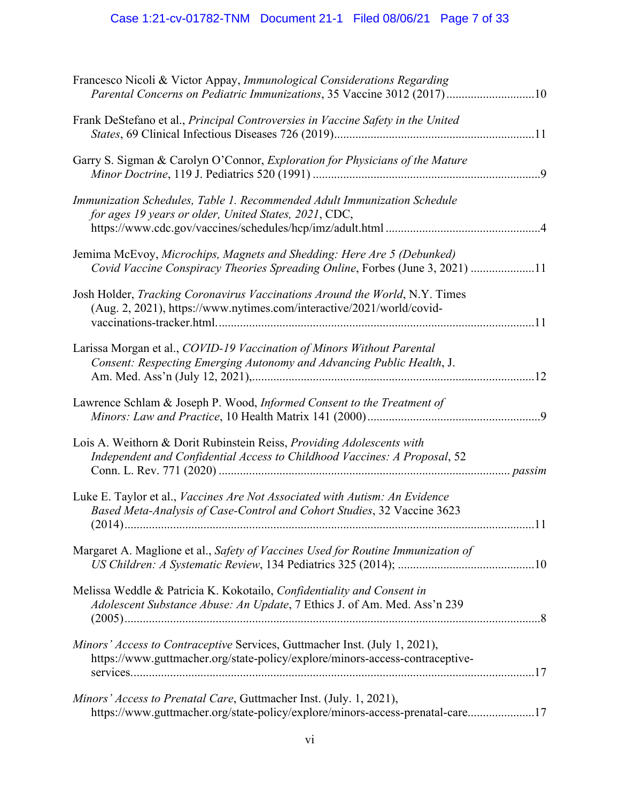# Case 1:21-cv-01782-TNM Document 21-1 Filed 08/06/21 Page 7 of 33

| Francesco Nicoli & Victor Appay, Immunological Considerations Regarding<br>Parental Concerns on Pediatric Immunizations, 35 Vaccine 3012 (2017)10             |  |
|---------------------------------------------------------------------------------------------------------------------------------------------------------------|--|
| Frank DeStefano et al., Principal Controversies in Vaccine Safety in the United                                                                               |  |
| Garry S. Sigman & Carolyn O'Connor, Exploration for Physicians of the Mature                                                                                  |  |
| Immunization Schedules, Table 1. Recommended Adult Immunization Schedule<br>for ages 19 years or older, United States, 2021, CDC,                             |  |
| Jemima McEvoy, Microchips, Magnets and Shedding: Here Are 5 (Debunked)<br>Covid Vaccine Conspiracy Theories Spreading Online, Forbes (June 3, 2021) 11        |  |
| Josh Holder, Tracking Coronavirus Vaccinations Around the World, N.Y. Times<br>(Aug. 2, 2021), https://www.nytimes.com/interactive/2021/world/covid-          |  |
| Larissa Morgan et al., COVID-19 Vaccination of Minors Without Parental<br>Consent: Respecting Emerging Autonomy and Advancing Public Health, J.               |  |
| Lawrence Schlam & Joseph P. Wood, Informed Consent to the Treatment of                                                                                        |  |
| Lois A. Weithorn & Dorit Rubinstein Reiss, Providing Adolescents with<br>Independent and Confidential Access to Childhood Vaccines: A Proposal, 52            |  |
| Luke E. Taylor et al., <i>Vaccines Are Not Associated with Autism: An Evidence</i><br>Based Meta-Analysis of Case-Control and Cohort Studies, 32 Vaccine 3623 |  |
| Margaret A. Maglione et al., Safety of Vaccines Used for Routine Immunization of                                                                              |  |
| Melissa Weddle & Patricia K. Kokotailo, Confidentiality and Consent in<br>Adolescent Substance Abuse: An Update, 7 Ethics J. of Am. Med. Ass'n 239            |  |
| Minors' Access to Contraceptive Services, Guttmacher Inst. (July 1, 2021),<br>https://www.guttmacher.org/state-policy/explore/minors-access-contraceptive-    |  |
| Minors' Access to Prenatal Care, Guttmacher Inst. (July. 1, 2021),<br>https://www.guttmacher.org/state-policy/explore/minors-access-prenatal-care17           |  |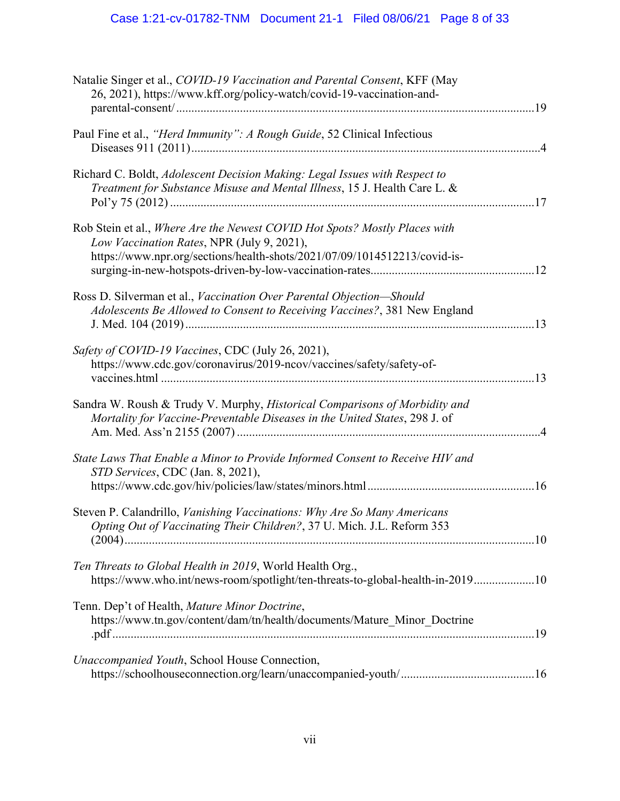| Natalie Singer et al., COVID-19 Vaccination and Parental Consent, KFF (May<br>26, 2021), https://www.kff.org/policy-watch/covid-19-vaccination-and-                                                   |
|-------------------------------------------------------------------------------------------------------------------------------------------------------------------------------------------------------|
| Paul Fine et al., "Herd Immunity": A Rough Guide, 52 Clinical Infectious                                                                                                                              |
| Richard C. Boldt, Adolescent Decision Making: Legal Issues with Respect to<br>Treatment for Substance Misuse and Mental Illness, 15 J. Health Care L. &                                               |
| Rob Stein et al., Where Are the Newest COVID Hot Spots? Mostly Places with<br>Low Vaccination Rates, NPR (July 9, 2021),<br>https://www.npr.org/sections/health-shots/2021/07/09/1014512213/covid-is- |
| Ross D. Silverman et al., Vaccination Over Parental Objection-Should<br>Adolescents Be Allowed to Consent to Receiving Vaccines?, 381 New England                                                     |
| Safety of COVID-19 Vaccines, CDC (July 26, 2021),<br>https://www.cdc.gov/coronavirus/2019-ncov/vaccines/safety/safety-of-                                                                             |
| Sandra W. Roush & Trudy V. Murphy, Historical Comparisons of Morbidity and<br>Mortality for Vaccine-Preventable Diseases in the United States, 298 J. of                                              |
| State Laws That Enable a Minor to Provide Informed Consent to Receive HIV and<br>STD Services, CDC (Jan. 8, 2021),                                                                                    |
| Steven P. Calandrillo, Vanishing Vaccinations: Why Are So Many Americans<br>Opting Out of Vaccinating Their Children?, 37 U. Mich. J.L. Reform 353                                                    |
| Ten Threats to Global Health in 2019, World Health Org.,<br>https://www.who.int/news-room/spotlight/ten-threats-to-global-health-in-201910                                                            |
| Tenn. Dep't of Health, Mature Minor Doctrine,<br>https://www.tn.gov/content/dam/tn/health/documents/Mature_Minor_Doctrine                                                                             |
| <i>Unaccompanied Youth, School House Connection,</i>                                                                                                                                                  |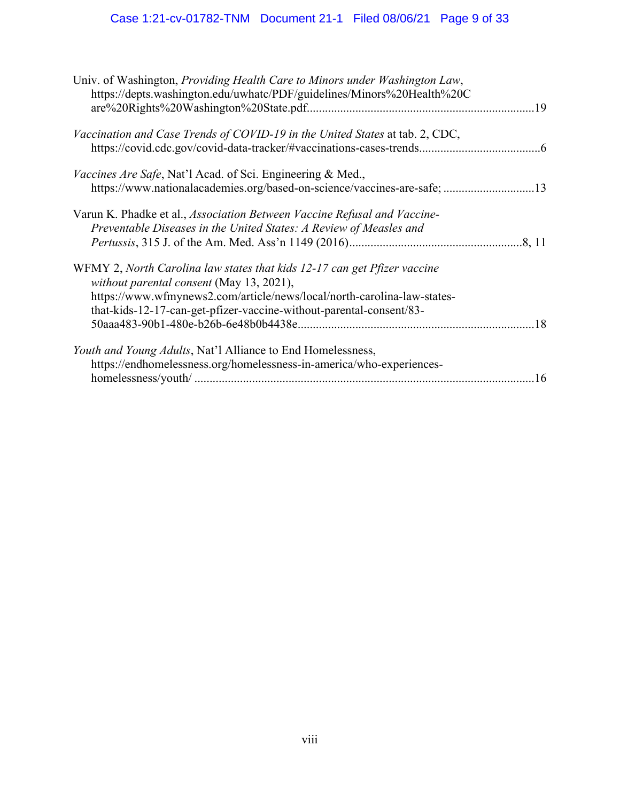# Case 1:21-cv-01782-TNM Document 21-1 Filed 08/06/21 Page 9 of 33

| Univ. of Washington, Providing Health Care to Minors under Washington Law,<br>https://depts.washington.edu/uwhatc/PDF/guidelines/Minors%20Health%20C                                                                                                                   |  |
|------------------------------------------------------------------------------------------------------------------------------------------------------------------------------------------------------------------------------------------------------------------------|--|
| Vaccination and Case Trends of COVID-19 in the United States at tab. 2, CDC,                                                                                                                                                                                           |  |
| <i>Vaccines Are Safe</i> , Nat'l Acad. of Sci. Engineering & Med.,<br>https://www.nationalacademies.org/based-on-science/vaccines-are-safe; 13                                                                                                                         |  |
| Varun K. Phadke et al., Association Between Vaccine Refusal and Vaccine-<br>Preventable Diseases in the United States: A Review of Measles and                                                                                                                         |  |
| WFMY 2, North Carolina law states that kids 12-17 can get Pfizer vaccine<br>without parental consent (May 13, 2021),<br>https://www.wfmynews2.com/article/news/local/north-carolina-law-states-<br>that-kids-12-17-can-get-pfizer-vaccine-without-parental-consent/83- |  |
| <i>Youth and Young Adults, Nat'l Alliance to End Homelessness,</i><br>https://endhomelessness.org/homelessness-in-america/who-experiences-                                                                                                                             |  |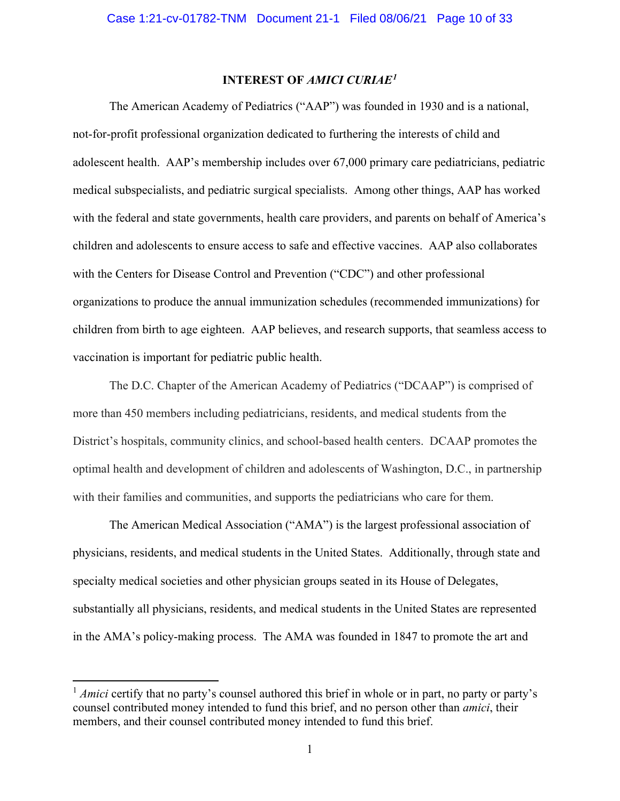## **INTEREST OF** *AMICI CURIAE[1](#page-9-1)*

<span id="page-9-0"></span>The American Academy of Pediatrics ("AAP") was founded in 1930 and is a national, not-for-profit professional organization dedicated to furthering the interests of child and adolescent health. AAP's membership includes over 67,000 primary care pediatricians, pediatric medical subspecialists, and pediatric surgical specialists. Among other things, AAP has worked with the federal and state governments, health care providers, and parents on behalf of America's children and adolescents to ensure access to safe and effective vaccines. AAP also collaborates with the Centers for Disease Control and Prevention ("CDC") and other professional organizations to produce the annual immunization schedules (recommended immunizations) for children from birth to age eighteen. AAP believes, and research supports, that seamless access to vaccination is important for pediatric public health.

The D.C. Chapter of the American Academy of Pediatrics ("DCAAP") is comprised of more than 450 members including pediatricians, residents, and medical students from the District's hospitals, community clinics, and school-based health centers. DCAAP promotes the optimal health and development of children and adolescents of Washington, D.C., in partnership with their families and communities, and supports the pediatricians who care for them.

The American Medical Association ("AMA") is the largest professional association of physicians, residents, and medical students in the United States. Additionally, through state and specialty medical societies and other physician groups seated in its House of Delegates, substantially all physicians, residents, and medical students in the United States are represented in the AMA's policy-making process. The AMA was founded in 1847 to promote the art and

<span id="page-9-1"></span><sup>&</sup>lt;sup>1</sup> *Amici* certify that no party's counsel authored this brief in whole or in part, no party or party's counsel contributed money intended to fund this brief, and no person other than *amici*, their members, and their counsel contributed money intended to fund this brief.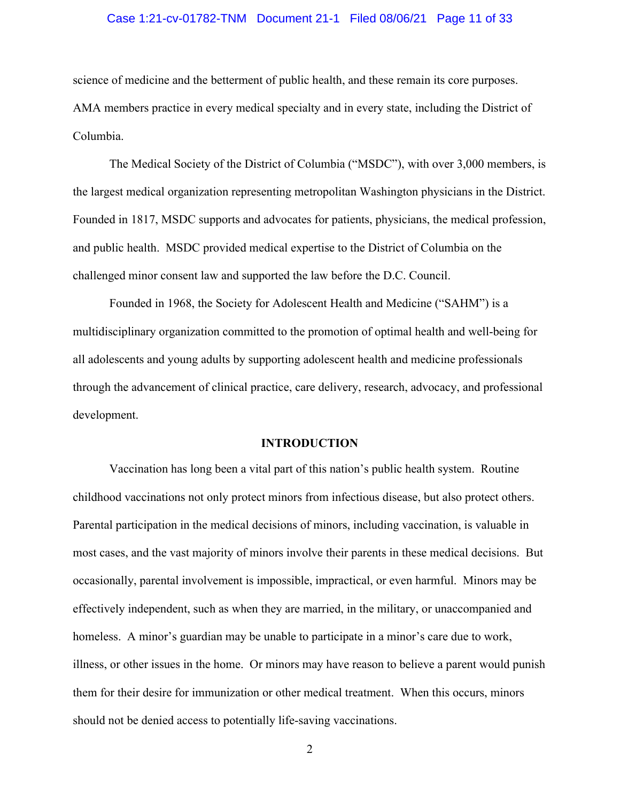#### Case 1:21-cv-01782-TNM Document 21-1 Filed 08/06/21 Page 11 of 33

science of medicine and the betterment of public health, and these remain its core purposes. AMA members practice in every medical specialty and in every state, including the District of Columbia.

The Medical Society of the District of Columbia ("MSDC"), with over 3,000 members, is the largest medical organization representing metropolitan Washington physicians in the District. Founded in 1817, MSDC supports and advocates for patients, physicians, the medical profession, and public health. MSDC provided medical expertise to the District of Columbia on the challenged minor consent law and supported the law before the D.C. Council.

Founded in 1968, the Society for Adolescent Health and Medicine ("SAHM") is a multidisciplinary organization committed to the promotion of optimal health and well-being for all adolescents and young adults by supporting adolescent health and medicine professionals through the advancement of clinical practice, care delivery, research, advocacy, and professional development.

#### **INTRODUCTION**

<span id="page-10-0"></span>Vaccination has long been a vital part of this nation's public health system. Routine childhood vaccinations not only protect minors from infectious disease, but also protect others. Parental participation in the medical decisions of minors, including vaccination, is valuable in most cases, and the vast majority of minors involve their parents in these medical decisions. But occasionally, parental involvement is impossible, impractical, or even harmful. Minors may be effectively independent, such as when they are married, in the military, or unaccompanied and homeless. A minor's guardian may be unable to participate in a minor's care due to work, illness, or other issues in the home. Or minors may have reason to believe a parent would punish them for their desire for immunization or other medical treatment. When this occurs, minors should not be denied access to potentially life-saving vaccinations.

2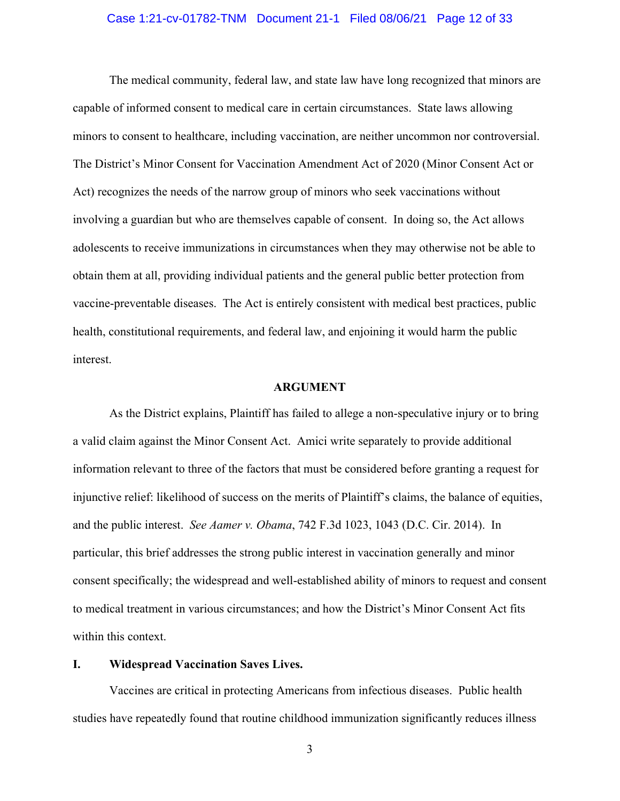#### Case 1:21-cv-01782-TNM Document 21-1 Filed 08/06/21 Page 12 of 33

The medical community, federal law, and state law have long recognized that minors are capable of informed consent to medical care in certain circumstances. State laws allowing minors to consent to healthcare, including vaccination, are neither uncommon nor controversial. The District's Minor Consent for Vaccination Amendment Act of 2020 (Minor Consent Act or Act) recognizes the needs of the narrow group of minors who seek vaccinations without involving a guardian but who are themselves capable of consent. In doing so, the Act allows adolescents to receive immunizations in circumstances when they may otherwise not be able to obtain them at all, providing individual patients and the general public better protection from vaccine-preventable diseases. The Act is entirely consistent with medical best practices, public health, constitutional requirements, and federal law, and enjoining it would harm the public interest.

#### <span id="page-11-2"></span>**ARGUMENT**

<span id="page-11-0"></span>As the District explains, Plaintiff has failed to allege a non-speculative injury or to bring a valid claim against the Minor Consent Act. Amici write separately to provide additional information relevant to three of the factors that must be considered before granting a request for injunctive relief: likelihood of success on the merits of Plaintiff's claims, the balance of equities, and the public interest. *See Aamer v. Obama*, 742 F.3d 1023, 1043 (D.C. Cir. 2014). In particular, this brief addresses the strong public interest in vaccination generally and minor consent specifically; the widespread and well-established ability of minors to request and consent to medical treatment in various circumstances; and how the District's Minor Consent Act fits within this context.

#### <span id="page-11-1"></span>**I. Widespread Vaccination Saves Lives.**

Vaccines are critical in protecting Americans from infectious diseases. Public health studies have repeatedly found that routine childhood immunization significantly reduces illness

3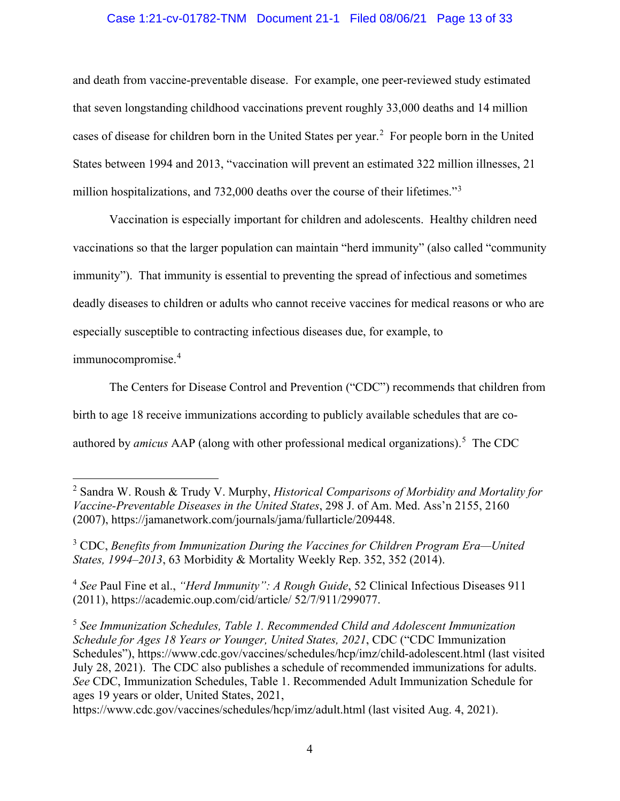#### Case 1:21-cv-01782-TNM Document 21-1 Filed 08/06/21 Page 13 of 33

and death from vaccine-preventable disease. For example, one peer-reviewed study estimated that seven longstanding childhood vaccinations prevent roughly 33,000 deaths and 14 million cases of disease for children born in the United States per year.<sup>[2](#page-12-4)</sup> For people born in the United States between 1994 and 2013, "vaccination will prevent an estimated 322 million illnesses, 21 million hospitalizations, and 7[3](#page-12-5)2,000 deaths over the course of their lifetimes."<sup>3</sup>

Vaccination is especially important for children and adolescents. Healthy children need vaccinations so that the larger population can maintain "herd immunity" (also called "community immunity"). That immunity is essential to preventing the spread of infectious and sometimes deadly diseases to children or adults who cannot receive vaccines for medical reasons or who are especially susceptible to contracting infectious diseases due, for example, to

immunocompromise. [4](#page-12-6)

The Centers for Disease Control and Prevention ("CDC") recommends that children from birth to age 18 receive immunizations according to publicly available schedules that are coauthored by *amicus* AAP (along with other professional medical organizations).<sup>[5](#page-12-7)</sup> The CDC

<span id="page-12-1"></span>https://www.cdc.gov/vaccines/schedules/hcp/imz/adult.html (last visited Aug. 4, 2021).

<span id="page-12-4"></span><span id="page-12-3"></span><sup>2</sup> Sandra W. Roush & Trudy V. Murphy, *Historical Comparisons of Morbidity and Mortality for Vaccine-Preventable Diseases in the United States*, 298 J. of Am. Med. Ass'n 2155, 2160 (2007), https://jamanetwork.com/journals/jama/fullarticle/209448.

<span id="page-12-5"></span><span id="page-12-0"></span><sup>3</sup> CDC, *Benefits from Immunization During the Vaccines for Children Program Era—United States, 1994–2013*, 63 Morbidity & Mortality Weekly Rep. 352, 352 (2014).

<span id="page-12-6"></span><span id="page-12-2"></span><sup>4</sup> *See* Paul Fine et al., *"Herd Immunity": A Rough Guide*, 52 Clinical Infectious Diseases 911 (2011), https://academic.oup.com/cid/article/ 52/7/911/299077.

<span id="page-12-7"></span><sup>5</sup> *See Immunization Schedules, Table 1. Recommended Child and Adolescent Immunization Schedule for Ages 18 Years or Younger, United States, 2021*, CDC ("CDC Immunization Schedules"), https://www.cdc.gov/vaccines/schedules/hcp/imz/child-adolescent.html (last visited July 28, 2021). The CDC also publishes a schedule of recommended immunizations for adults. *See* CDC, Immunization Schedules, Table 1. Recommended Adult Immunization Schedule for ages 19 years or older, United States, 2021,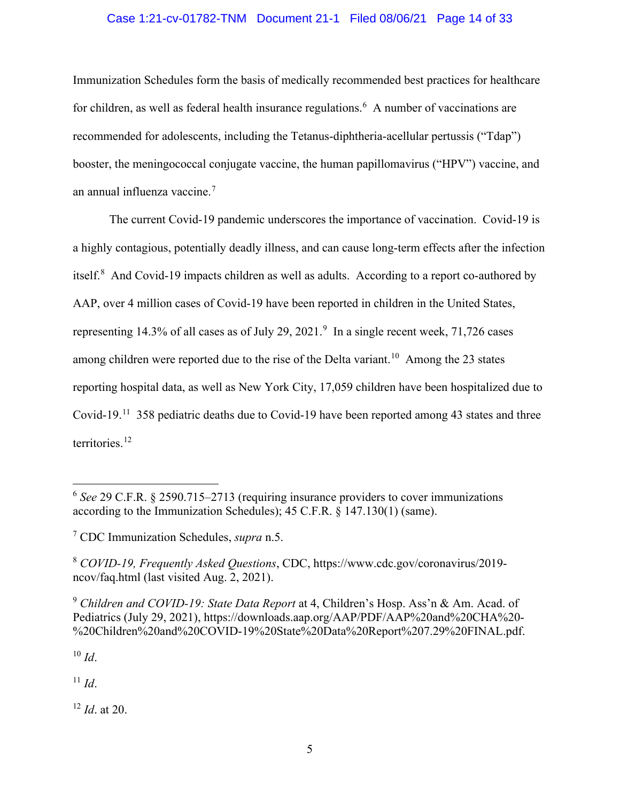## Case 1:21-cv-01782-TNM Document 21-1 Filed 08/06/21 Page 14 of 33

Immunization Schedules form the basis of medically recommended best practices for healthcare for children, as well as federal health insurance regulations.<sup>[6](#page-13-3)</sup> A number of vaccinations are recommended for adolescents, including the Tetanus-diphtheria-acellular pertussis ("Tdap") booster, the meningococcal conjugate vaccine, the human papillomavirus ("HPV") vaccine, and an annual influenza vaccine.[7](#page-13-4)

The current Covid-19 pandemic underscores the importance of vaccination. Covid-19 is a highly contagious, potentially deadly illness, and can cause long-term effects after the infection itself. $8$  And Covid-19 impacts children as well as adults. According to a report co-authored by AAP, over 4 million cases of Covid-19 have been reported in children in the United States, representing 14.3% of all cases as of July 2[9](#page-13-6), 2021. $9$  In a single recent week, 71,726 cases among children were reported due to the rise of the Delta variant.<sup>[10](#page-13-7)</sup> Among the 23 states reporting hospital data, as well as New York City, 17,059 children have been hospitalized due to Covid-19.[11](#page-13-8) 358 pediatric deaths due to Covid-19 have been reported among 43 states and three territories.<sup>[12](#page-13-9)</sup>

<span id="page-13-5"></span><span id="page-13-2"></span><sup>8</sup> *COVID-19, Frequently Asked Questions*, CDC, https://www.cdc.gov/coronavirus/2019 ncov/faq.html (last visited Aug. 2, 2021).

<span id="page-13-6"></span><sup>9</sup> *Children and COVID-19: State Data Report* at 4, Children's Hosp. Ass'n & Am. Acad. of Pediatrics (July 29, 2021), https://downloads.aap.org/AAP/PDF/AAP%20and%20CHA%20- %20Children%20and%20COVID-19%20State%20Data%20Report%207.29%20FINAL.pdf.

<span id="page-13-7"></span> $10$  *Id.* 

<span id="page-13-8"></span><sup>11</sup> *Id*.

<span id="page-13-9"></span><sup>12</sup> *Id*. at 20.

<span id="page-13-3"></span><span id="page-13-1"></span><span id="page-13-0"></span><sup>6</sup> *See* 29 C.F.R. § 2590.715–2713 (requiring insurance providers to cover immunizations according to the Immunization Schedules); 45 C.F.R. § 147.130(1) (same).

<span id="page-13-4"></span><sup>7</sup> CDC Immunization Schedules, *supra* n.5.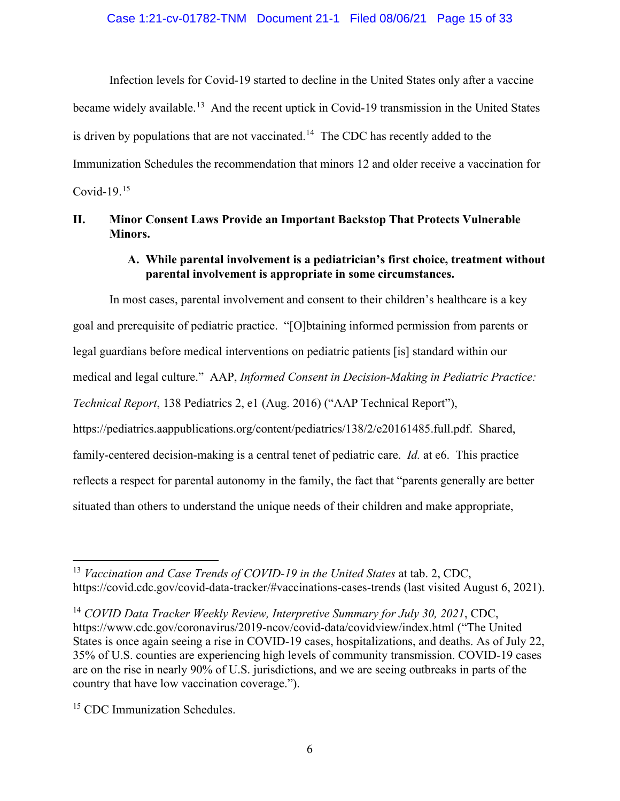Infection levels for Covid-19 started to decline in the United States only after a vaccine became widely available.<sup>[13](#page-14-5)</sup> And the recent uptick in Covid-19 transmission in the United States is driven by populations that are not vaccinated.<sup>[14](#page-14-6)</sup> The CDC has recently added to the Immunization Schedules the recommendation that minors 12 and older receive a vaccination for Covid-19.[15](#page-14-7) 

## <span id="page-14-1"></span><span id="page-14-0"></span>**II. Minor Consent Laws Provide an Important Backstop That Protects Vulnerable Minors.**

## **A. While parental involvement is a pediatrician's first choice, treatment without parental involvement is appropriate in some circumstances.**

<span id="page-14-2"></span>In most cases, parental involvement and consent to their children's healthcare is a key goal and prerequisite of pediatric practice. "[O]btaining informed permission from parents or legal guardians before medical interventions on pediatric patients [is] standard within our medical and legal culture." AAP, *Informed Consent in Decision-Making in Pediatric Practice: Technical Report*, 138 Pediatrics 2, e1 (Aug. 2016) ("AAP Technical Report"), https://pediatrics.aappublications.org/content/pediatrics/138/2/e20161485.full.pdf. Shared, family-centered decision-making is a central tenet of pediatric care. *Id.* at e6. This practice reflects a respect for parental autonomy in the family, the fact that "parents generally are better situated than others to understand the unique needs of their children and make appropriate,

<span id="page-14-5"></span><span id="page-14-4"></span><sup>13</sup> *Vaccination and Case Trends of COVID-19 in the United States* at tab. 2, CDC, https://covid.cdc.gov/covid-data-tracker/#vaccinations-cases-trends (last visited August 6, 2021).

<span id="page-14-6"></span><span id="page-14-3"></span><sup>14</sup> *COVID Data Tracker Weekly Review, Interpretive Summary for July 30, 2021*, CDC, https://www.cdc.gov/coronavirus/2019-ncov/covid-data/covidview/index.html ("The United States is once again seeing a rise in COVID-19 cases, hospitalizations, and deaths. As of July 22, 35% of U.S. counties are experiencing high levels of community transmission. COVID-19 cases are on the rise in nearly 90% of U.S. jurisdictions, and we are seeing outbreaks in parts of the country that have low vaccination coverage.").

<span id="page-14-7"></span><sup>&</sup>lt;sup>15</sup> CDC Immunization Schedules.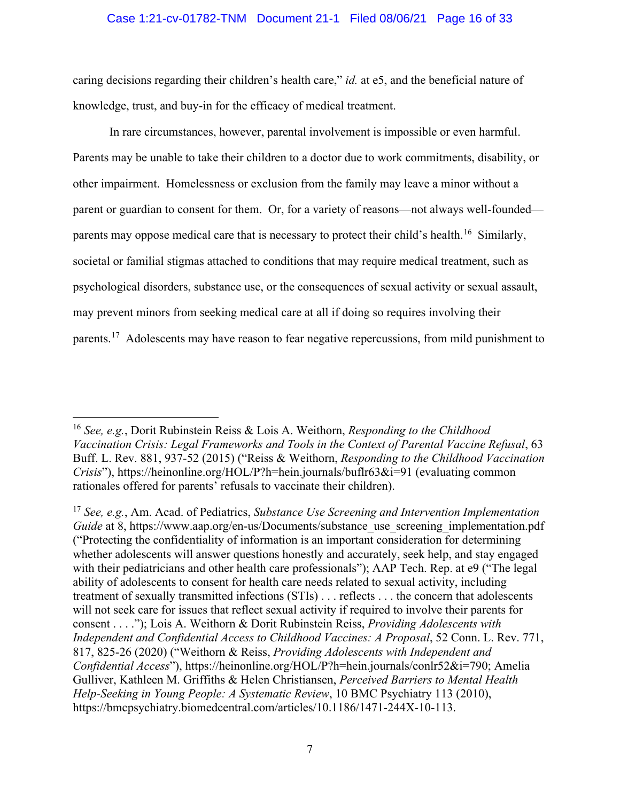#### Case 1:21-cv-01782-TNM Document 21-1 Filed 08/06/21 Page 16 of 33

caring decisions regarding their children's health care," *id.* at e5, and the beneficial nature of knowledge, trust, and buy-in for the efficacy of medical treatment.

In rare circumstances, however, parental involvement is impossible or even harmful. Parents may be unable to take their children to a doctor due to work commitments, disability, or other impairment. Homelessness or exclusion from the family may leave a minor without a parent or guardian to consent for them. Or, for a variety of reasons—not always well-founded— parents may oppose medical care that is necessary to protect their child's health.<sup>[16](#page-15-2)</sup> Similarly, societal or familial stigmas attached to conditions that may require medical treatment, such as psychological disorders, substance use, or the consequences of sexual activity or sexual assault, may prevent minors from seeking medical care at all if doing so requires involving their parents.<sup>[17](#page-15-3)</sup> Adolescents may have reason to fear negative repercussions, from mild punishment to

<span id="page-15-2"></span><span id="page-15-1"></span><sup>16</sup> *See, e.g.*, Dorit Rubinstein Reiss & Lois A. Weithorn, *Responding to the Childhood Vaccination Crisis: Legal Frameworks and Tools in the Context of Parental Vaccine Refusal*, 63 Buff. L. Rev. 881, 937-52 (2015) ("Reiss & Weithorn, *Responding to the Childhood Vaccination Crisis*"), https://heinonline.org/HOL/P?h=hein.journals/buflr63&i=91 (evaluating common rationales offered for parents' refusals to vaccinate their children).

<span id="page-15-3"></span><span id="page-15-0"></span><sup>17</sup> *See, e.g.*, Am. Acad. of Pediatrics, *Substance Use Screening and Intervention Implementation Guide* at 8, https://www.aap.org/en-us/Documents/substance use screening implementation.pdf ("Protecting the confidentiality of information is an important consideration for determining whether adolescents will answer questions honestly and accurately, seek help, and stay engaged with their pediatricians and other health care professionals"); AAP Tech. Rep. at e9 ("The legal ability of adolescents to consent for health care needs related to sexual activity, including treatment of sexually transmitted infections (STIs) . . . reflects . . . the concern that adolescents will not seek care for issues that reflect sexual activity if required to involve their parents for consent . . . ."); Lois A. Weithorn & Dorit Rubinstein Reiss, *Providing Adolescents with Independent and Confidential Access to Childhood Vaccines: A Proposal*, 52 Conn. L. Rev. 771, 817, 825-26 (2020) ("Weithorn & Reiss, *Providing Adolescents with Independent and Confidential Access*"), https://heinonline.org/HOL/P?h=hein.journals/conlr52&i=790; Amelia Gulliver, Kathleen M. Griffiths & Helen Christiansen, *Perceived Barriers to Mental Health Help-Seeking in Young People: A Systematic Review*, 10 BMC Psychiatry 113 (2010), https://bmcpsychiatry.biomedcentral.com/articles/10.1186/1471-244X-10-113.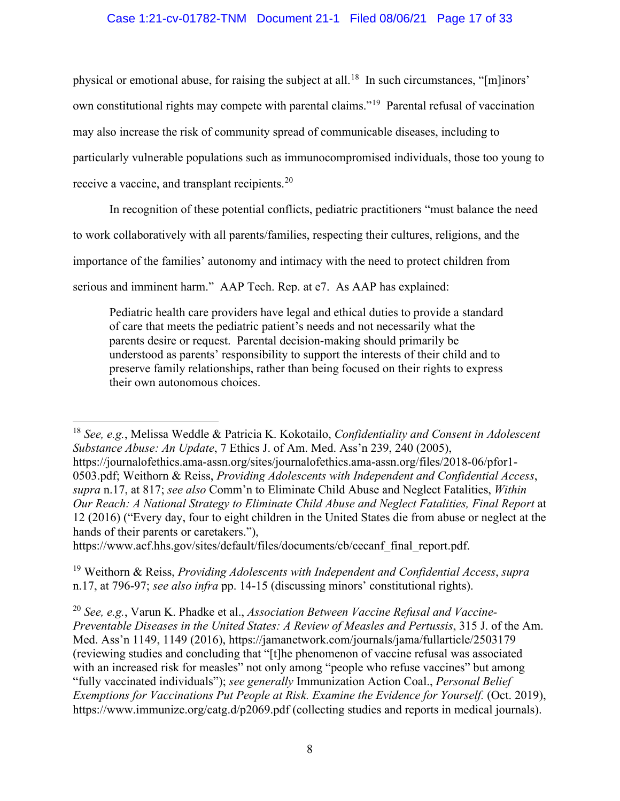## Case 1:21-cv-01782-TNM Document 21-1 Filed 08/06/21 Page 17 of 33

physical or emotional abuse, for raising the subject at all.<sup>[18](#page-16-4)</sup> In such circumstances, "[m]inors' own constitutional rights may compete with parental claims."[19](#page-16-5) Parental refusal of vaccination may also increase the risk of community spread of communicable diseases, including to particularly vulnerable populations such as immunocompromised individuals, those too young to receive a vaccine, and transplant recipients.<sup>[20](#page-16-6)</sup>

In recognition of these potential conflicts, pediatric practitioners "must balance the need

to work collaboratively with all parents/families, respecting their cultures, religions, and the

importance of the families' autonomy and intimacy with the need to protect children from

serious and imminent harm." AAP Tech. Rep. at e7. As AAP has explained:

<span id="page-16-2"></span>Pediatric health care providers have legal and ethical duties to provide a standard of care that meets the pediatric patient's needs and not necessarily what the parents desire or request. Parental decision-making should primarily be understood as parents' responsibility to support the interests of their child and to preserve family relationships, rather than being focused on their rights to express their own autonomous choices.

https://www.acf.hhs.gov/sites/default/files/documents/cb/cecanf\_final\_report.pdf.

<span id="page-16-5"></span><sup>19</sup> Weithorn & Reiss, *Providing Adolescents with Independent and Confidential Access*, *supra*  n.17, at 796-97; *see also infra* pp. 14-15 (discussing minors' constitutional rights).

<span id="page-16-4"></span><span id="page-16-0"></span><sup>18</sup> *See, e.g.*, Melissa Weddle & Patricia K. Kokotailo, *Confidentiality and Consent in Adolescent Substance Abuse: An Update*, 7 Ethics J. of Am. Med. Ass'n 239, 240 (2005), https://journalofethics.ama-assn.org/sites/journalofethics.ama-assn.org/files/2018-06/pfor1- 0503.pdf; Weithorn & Reiss, *Providing Adolescents with Independent and Confidential Access*, *supra* n.17, at 817; *see also* Comm'n to Eliminate Child Abuse and Neglect Fatalities, *Within Our Reach: A National Strategy to Eliminate Child Abuse and Neglect Fatalities, Final Report* at 12 (2016) ("Every day, four to eight children in the United States die from abuse or neglect at the hands of their parents or caretakers."),

<span id="page-16-6"></span><span id="page-16-3"></span><span id="page-16-1"></span><sup>20</sup> *See, e.g.*, Varun K. Phadke et al., *Association Between Vaccine Refusal and Vaccine-Preventable Diseases in the United States: A Review of Measles and Pertussis*, 315 J. of the Am. Med. Ass'n 1149, 1149 (2016), https://jamanetwork.com/journals/jama/fullarticle/2503179 (reviewing studies and concluding that "[t]he phenomenon of vaccine refusal was associated with an increased risk for measles" not only among "people who refuse vaccines" but among "fully vaccinated individuals"); *see generally* Immunization Action Coal., *Personal Belief Exemptions for Vaccinations Put People at Risk. Examine the Evidence for Yourself.* (Oct. 2019), https://www.immunize.org/catg.d/p2069.pdf (collecting studies and reports in medical journals).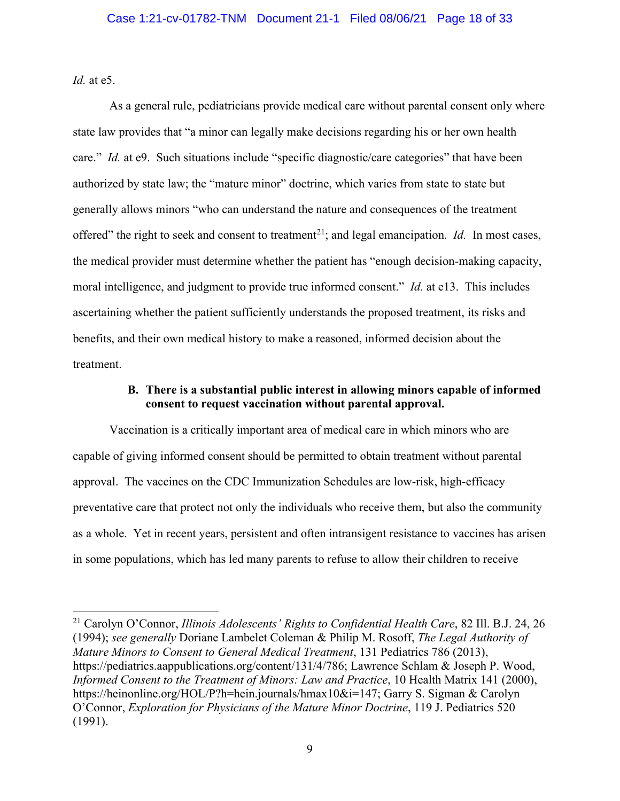*Id.* at e5.

As a general rule, pediatricians provide medical care without parental consent only where state law provides that "a minor can legally make decisions regarding his or her own health care." *Id.* at e9. Such situations include "specific diagnostic/care categories" that have been authorized by state law; the "mature minor" doctrine, which varies from state to state but generally allows minors "who can understand the nature and consequences of the treatment offered" the right to seek and consent to treatment<sup>[21](#page-17-5)</sup>; and legal emancipation. *Id.* In most cases, the medical provider must determine whether the patient has "enough decision-making capacity, moral intelligence, and judgment to provide true informed consent." *Id.* at e13. This includes ascertaining whether the patient sufficiently understands the proposed treatment, its risks and benefits, and their own medical history to make a reasoned, informed decision about the treatment.

## **B. There is a substantial public interest in allowing minors capable of informed consent to request vaccination without parental approval.**

<span id="page-17-0"></span>Vaccination is a critically important area of medical care in which minors who are capable of giving informed consent should be permitted to obtain treatment without parental approval. The vaccines on the CDC Immunization Schedules are low-risk, high-efficacy preventative care that protect not only the individuals who receive them, but also the community as a whole. Yet in recent years, persistent and often intransigent resistance to vaccines has arisen in some populations, which has led many parents to refuse to allow their children to receive

<span id="page-17-5"></span><span id="page-17-4"></span><span id="page-17-3"></span><span id="page-17-2"></span><span id="page-17-1"></span><sup>21</sup> Carolyn O'Connor, *Illinois Adolescents' Rights to Confidential Health Care*, 82 Ill. B.J. 24, 26 (1994); *see generally* Doriane Lambelet Coleman & Philip M. Rosoff, *The Legal Authority of Mature Minors to Consent to General Medical Treatment*, 131 Pediatrics 786 (2013), https://pediatrics.aappublications.org/content/131/4/786; Lawrence Schlam & Joseph P. Wood, *Informed Consent to the Treatment of Minors: Law and Practice*, 10 Health Matrix 141 (2000), https://heinonline.org/HOL/P?h=hein.journals/hmax10&i=147; Garry S. Sigman & Carolyn O'Connor, *Exploration for Physicians of the Mature Minor Doctrine*, 119 J. Pediatrics 520 (1991).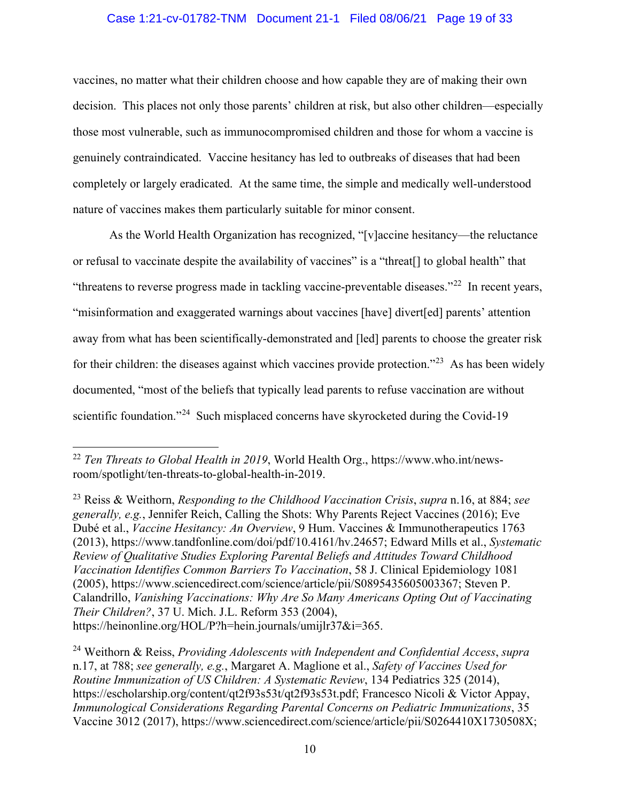#### Case 1:21-cv-01782-TNM Document 21-1 Filed 08/06/21 Page 19 of 33

vaccines, no matter what their children choose and how capable they are of making their own decision. This places not only those parents' children at risk, but also other children—especially those most vulnerable, such as immunocompromised children and those for whom a vaccine is genuinely contraindicated. Vaccine hesitancy has led to outbreaks of diseases that had been completely or largely eradicated. At the same time, the simple and medically well-understood nature of vaccines makes them particularly suitable for minor consent.

As the World Health Organization has recognized, "[v]accine hesitancy—the reluctance or refusal to vaccinate despite the availability of vaccines" is a "threat[] to global health" that "threatens to reverse progress made in tackling vaccine-preventable diseases."<sup>[22](#page-18-6)</sup> In recent years, "misinformation and exaggerated warnings about vaccines [have] divert[ed] parents' attention away from what has been scientifically-demonstrated and [led] parents to choose the greater risk for their children: the diseases against which vaccines provide protection."<sup>[23](#page-18-7)</sup> As has been widely documented, "most of the beliefs that typically lead parents to refuse vaccination are without scientific foundation."<sup>24</sup> Such misplaced concerns have skyrocketed during the Covid-19

<span id="page-18-6"></span><span id="page-18-5"></span><sup>22</sup> *Ten Threats to Global Health in 2019*, World Health Org., https://www.who.int/newsroom/spotlight/ten-threats-to-global-health-in-2019.

<span id="page-18-7"></span><span id="page-18-1"></span><span id="page-18-0"></span><sup>23</sup> Reiss & Weithorn, *Responding to the Childhood Vaccination Crisis*, *supra* n.16, at 884; *see generally, e.g.*, Jennifer Reich, Calling the Shots: Why Parents Reject Vaccines (2016); Eve Dubé et al., *Vaccine Hesitancy: An Overview*, 9 Hum. Vaccines & Immunotherapeutics 1763 (2013), https://www.tandfonline.com/doi/pdf/10.4161/hv.24657; Edward Mills et al., *Systematic Review of Qualitative Studies Exploring Parental Beliefs and Attitudes Toward Childhood Vaccination Identifies Common Barriers To Vaccination*, 58 J. Clinical Epidemiology 1081 (2005), https://www.sciencedirect.com/science/article/pii/S0895435605003367; Steven P. Calandrillo, *Vanishing Vaccinations: Why Are So Many Americans Opting Out of Vaccinating Their Children?*, 37 U. Mich. J.L. Reform 353 (2004), https://heinonline.org/HOL/P?h=hein.journals/umijlr37&i=365.

<span id="page-18-8"></span><span id="page-18-4"></span><span id="page-18-3"></span><span id="page-18-2"></span><sup>24</sup> Weithorn & Reiss, *Providing Adolescents with Independent and Confidential Access*, *supra*  n.17, at 788; *see generally, e.g.*, Margaret A. Maglione et al., *Safety of Vaccines Used for Routine Immunization of US Children: A Systematic Review*, 134 Pediatrics 325 (2014), https://escholarship.org/content/qt2f93s53t/qt2f93s53t.pdf; Francesco Nicoli & Victor Appay, *Immunological Considerations Regarding Parental Concerns on Pediatric Immunizations*, 35 Vaccine 3012 (2017), https://www.sciencedirect.com/science/article/pii/S0264410X1730508X;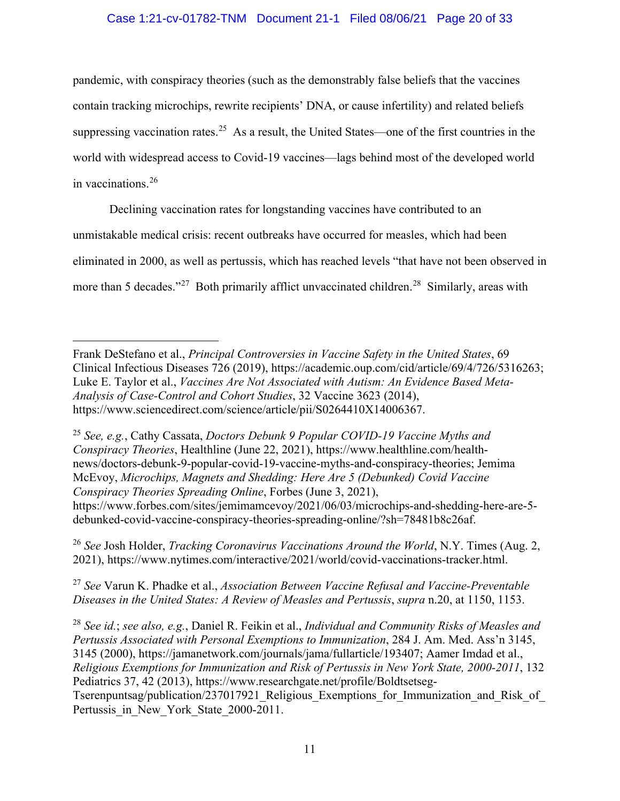### Case 1:21-cv-01782-TNM Document 21-1 Filed 08/06/21 Page 20 of 33

pandemic, with conspiracy theories (such as the demonstrably false beliefs that the vaccines contain tracking microchips, rewrite recipients' DNA, or cause infertility) and related beliefs suppressing vaccination rates.<sup>[25](#page-19-6)</sup> As a result, the United States—one of the first countries in the world with widespread access to Covid-19 vaccines—lags behind most of the developed world in vaccinations.[26](#page-19-7)

Declining vaccination rates for longstanding vaccines have contributed to an unmistakable medical crisis: recent outbreaks have occurred for measles, which had been eliminated in 2000, as well as pertussis, which has reached levels "that have not been observed in more than 5 decades."<sup>[27](#page-19-8)</sup> Both primarily afflict unvaccinated children.<sup>28</sup> Similarly, areas with

<span id="page-19-6"></span><span id="page-19-3"></span><span id="page-19-1"></span><sup>25</sup> *See, e.g.*, Cathy Cassata, *Doctors Debunk 9 Popular COVID-19 Vaccine Myths and Conspiracy Theories*, Healthline (June 22, 2021), https://www.healthline.com/healthnews/doctors-debunk-9-popular-covid-19-vaccine-myths-and-conspiracy-theories; Jemima McEvoy, *Microchips, Magnets and Shedding: Here Are 5 (Debunked) Covid Vaccine Conspiracy Theories Spreading Online*, Forbes (June 3, 2021), https://www.forbes.com/sites/jemimamcevoy/2021/06/03/microchips-and-shedding-here-are-5 debunked-covid-vaccine-conspiracy-theories-spreading-online/?sh=78481b8c26af.

<span id="page-19-7"></span><span id="page-19-4"></span><sup>26</sup> *See* Josh Holder, *Tracking Coronavirus Vaccinations Around the World*, N.Y. Times (Aug. 2, 2021), https://www.nytimes.com/interactive/2021/world/covid-vaccinations-tracker.html.

<span id="page-19-8"></span><sup>27</sup> *See* Varun K. Phadke et al., *Association Between Vaccine Refusal and Vaccine-Preventable Diseases in the United States: A Review of Measles and Pertussis*, *supra* n.20, at 1150, 1153.

<span id="page-19-9"></span><span id="page-19-0"></span><sup>28</sup> *See id.*; *see also, e.g.*, Daniel R. Feikin et al., *Individual and Community Risks of Measles and Pertussis Associated with Personal Exemptions to Immunization*, 284 J. Am. Med. Ass'n 3145, 3145 (2000), https://jamanetwork.com/journals/jama/fullarticle/193407; Aamer Imdad et al., *Religious Exemptions for Immunization and Risk of Pertussis in New York State, 2000-2011*, 132 Pediatrics 37, 42 (2013), https://www.researchgate.net/profile/Boldtsetseg-Tserenpuntsag/publication/237017921\_Religious\_Exemptions\_for\_Immunization\_and\_Risk\_of\_ Pertussis in New York State 2000-2011.

<span id="page-19-5"></span><span id="page-19-2"></span>Frank DeStefano et al., *Principal Controversies in Vaccine Safety in the United States*, 69 Clinical Infectious Diseases 726 (2019), https://academic.oup.com/cid/article/69/4/726/5316263; Luke E. Taylor et al., *Vaccines Are Not Associated with Autism: An Evidence Based Meta-Analysis of Case-Control and Cohort Studies*, 32 Vaccine 3623 (2014), https://www.sciencedirect.com/science/article/pii/S0264410X14006367.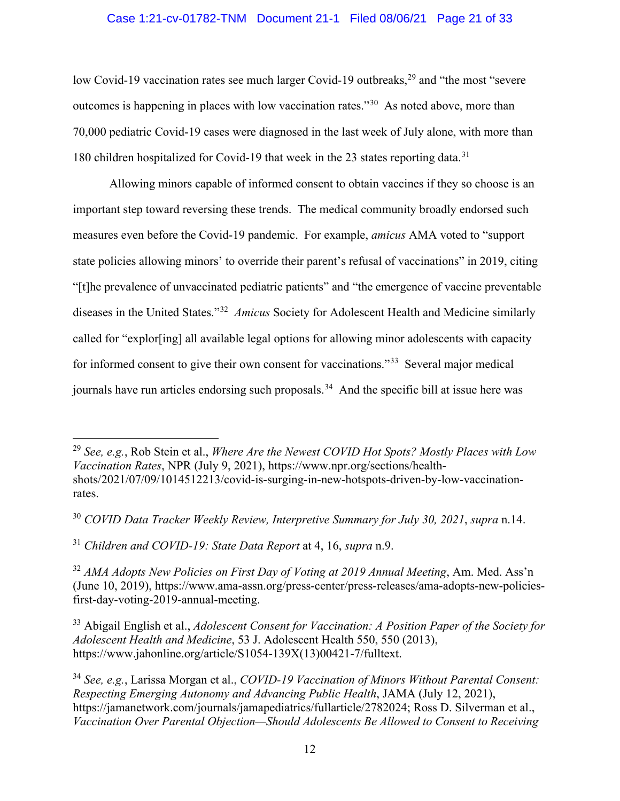### Case 1:21-cv-01782-TNM Document 21-1 Filed 08/06/21 Page 21 of 33

low Covid-19 vaccination rates see much larger Covid-19 outbreaks,<sup>[29](#page-20-6)</sup> and "the most "severe" outcomes is happening in places with low vaccination rates."[30](#page-20-7) As noted above, more than 70,000 pediatric Covid-19 cases were diagnosed in the last week of July alone, with more than 180 children hospitalized for Covid-19 that week in the 23 states reporting data.<sup>[31](#page-20-8)</sup>

Allowing minors capable of informed consent to obtain vaccines if they so choose is an important step toward reversing these trends. The medical community broadly endorsed such measures even before the Covid-19 pandemic. For example, *amicus* AMA voted to "support state policies allowing minors' to override their parent's refusal of vaccinations" in 2019, citing "[t]he prevalence of unvaccinated pediatric patients" and "the emergence of vaccine preventable diseases in the United States."[32](#page-20-9) *Amicus* Society for Adolescent Health and Medicine similarly called for "explor[ing] all available legal options for allowing minor adolescents with capacity for informed consent to give their own consent for vaccinations."[33](#page-20-10) Several major medical journals have run articles endorsing such proposals.<sup>34</sup> And the specific bill at issue here was

<span id="page-20-8"></span><span id="page-20-2"></span><sup>31</sup> *Children and COVID-19: State Data Report* at 4, 16, *supra* n.9.

<span id="page-20-9"></span><span id="page-20-1"></span><sup>32</sup> *AMA Adopts New Policies on First Day of Voting at 2019 Annual Meeting*, Am. Med. Ass'n (June 10, 2019), https://www.ama-assn.org/press-center/press-releases/ama-adopts-new-policiesfirst-day-voting-2019-annual-meeting.

<span id="page-20-10"></span><span id="page-20-0"></span><sup>33</sup> Abigail English et al., *Adolescent Consent for Vaccination: A Position Paper of the Society for Adolescent Health and Medicine*, 53 J. Adolescent Health 550, 550 (2013), https://www.jahonline.org/article/S1054-139X(13)00421-7/fulltext.

<span id="page-20-11"></span><span id="page-20-4"></span><sup>34</sup> *See, e.g.*, Larissa Morgan et al., *COVID-19 Vaccination of Minors Without Parental Consent: Respecting Emerging Autonomy and Advancing Public Health*, JAMA (July 12, 2021), https://jamanetwork.com/journals/jamapediatrics/fullarticle/2782024; Ross D. Silverman et al., *Vaccination Over Parental Objection—Should Adolescents Be Allowed to Consent to Receiving* 

<span id="page-20-6"></span><span id="page-20-5"></span><sup>29</sup> *See, e.g.*, Rob Stein et al., *Where Are the Newest COVID Hot Spots? Mostly Places with Low Vaccination Rates*, NPR (July 9, 2021), https://www.npr.org/sections/healthshots/2021/07/09/1014512213/covid-is-surging-in-new-hotspots-driven-by-low-vaccinationrates.

<span id="page-20-7"></span><span id="page-20-3"></span><sup>30</sup> *COVID Data Tracker Weekly Review, Interpretive Summary for July 30, 2021*, *supra* n.14.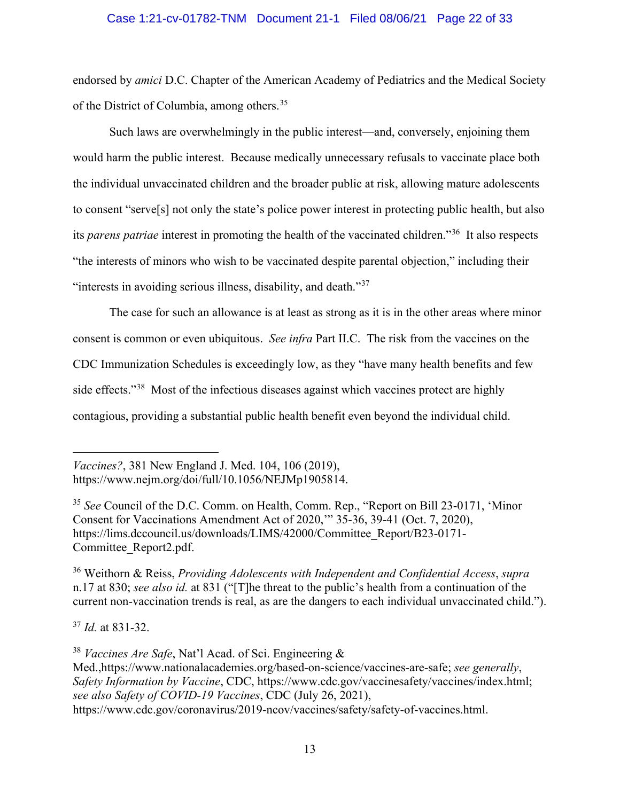#### Case 1:21-cv-01782-TNM Document 21-1 Filed 08/06/21 Page 22 of 33

endorsed by *amici* D.C. Chapter of the American Academy of Pediatrics and the Medical Society of the District of Columbia, among others.[35](#page-21-4)

Such laws are overwhelmingly in the public interest—and, conversely, enjoining them would harm the public interest. Because medically unnecessary refusals to vaccinate place both the individual unvaccinated children and the broader public at risk, allowing mature adolescents to consent "serve[s] not only the state's police power interest in protecting public health, but also its *parens patriae* interest in promoting the health of the vaccinated children."[36](#page-21-5) It also respects "the interests of minors who wish to be vaccinated despite parental objection," including their "interests in avoiding serious illness, disability, and death."<sup>[37](#page-21-6)</sup>

The case for such an allowance is at least as strong as it is in the other areas where minor consent is common or even ubiquitous. *See infra* Part II.C. The risk from the vaccines on the CDC Immunization Schedules is exceedingly low, as they "have many health benefits and few side effects."<sup>[38](#page-21-7)</sup> Most of the infectious diseases against which vaccines protect are highly contagious, providing a substantial public health benefit even beyond the individual child.

<span id="page-21-1"></span>*Vaccines?*, 381 New England J. Med. 104, 106 (2019), https://www.nejm.org/doi/full/10.1056/NEJMp1905814.

<span id="page-21-4"></span><span id="page-21-0"></span><sup>35</sup> *See* Council of the D.C. Comm. on Health, Comm. Rep., "Report on Bill 23-0171, 'Minor Consent for Vaccinations Amendment Act of 2020,'" 35-36, 39-41 (Oct. 7, 2020), https://lims.dccouncil.us/downloads/LIMS/42000/Committee\_Report/B23-0171- Committee\_Report2.pdf.

<span id="page-21-5"></span><sup>36</sup> Weithorn & Reiss, *Providing Adolescents with Independent and Confidential Access*, *supra*  n.17 at 830; *see also id.* at 831 ("[T]he threat to the public's health from a continuation of the current non-vaccination trends is real, as are the dangers to each individual unvaccinated child.").

<span id="page-21-6"></span><sup>37</sup> *Id.* at 831-32.

<span id="page-21-7"></span><span id="page-21-3"></span><sup>38</sup> *Vaccines Are Safe*, Nat'l Acad. of Sci. Engineering &

Med.,https://www.nationalacademies.org/based-on-science/vaccines-are-safe; *see generally*, *Safety Information by Vaccine*, CDC, https://www.cdc.gov/vaccinesafety/vaccines/index.html; *see also Safety of COVID-19 Vaccines*, CDC (July 26, 2021),

<span id="page-21-2"></span>https://www.cdc.gov/coronavirus/2019-ncov/vaccines/safety/safety-of-vaccines.html.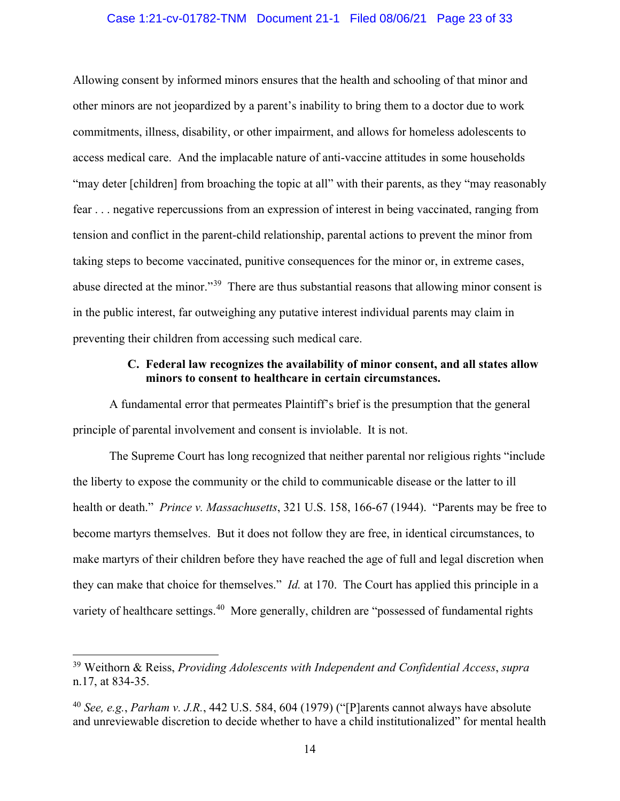#### Case 1:21-cv-01782-TNM Document 21-1 Filed 08/06/21 Page 23 of 33

Allowing consent by informed minors ensures that the health and schooling of that minor and other minors are not jeopardized by a parent's inability to bring them to a doctor due to work commitments, illness, disability, or other impairment, and allows for homeless adolescents to access medical care. And the implacable nature of anti-vaccine attitudes in some households "may deter [children] from broaching the topic at all" with their parents, as they "may reasonably fear . . . negative repercussions from an expression of interest in being vaccinated, ranging from tension and conflict in the parent-child relationship, parental actions to prevent the minor from taking steps to become vaccinated, punitive consequences for the minor or, in extreme cases, abuse directed at the minor."[39](#page-22-3) There are thus substantial reasons that allowing minor consent is in the public interest, far outweighing any putative interest individual parents may claim in preventing their children from accessing such medical care.

### **C. Federal law recognizes the availability of minor consent, and all states allow minors to consent to healthcare in certain circumstances.**

<span id="page-22-0"></span>A fundamental error that permeates Plaintiff's brief is the presumption that the general principle of parental involvement and consent is inviolable. It is not.

<span id="page-22-2"></span>The Supreme Court has long recognized that neither parental nor religious rights "include the liberty to expose the community or the child to communicable disease or the latter to ill health or death." *Prince v. Massachusetts*, 321 U.S. 158, 166-67 (1944). "Parents may be free to become martyrs themselves. But it does not follow they are free, in identical circumstances, to make martyrs of their children before they have reached the age of full and legal discretion when they can make that choice for themselves." *Id.* at 170. The Court has applied this principle in a variety of healthcare settings.<sup>40</sup> More generally, children are "possessed of fundamental rights"

<span id="page-22-3"></span><sup>39</sup> Weithorn & Reiss, *Providing Adolescents with Independent and Confidential Access*, *supra*  n.17, at 834-35.

<span id="page-22-4"></span><span id="page-22-1"></span><sup>40</sup> *See, e.g.*, *Parham v. J.R.*, 442 U.S. 584, 604 (1979) ("[P]arents cannot always have absolute and unreviewable discretion to decide whether to have a child institutionalized" for mental health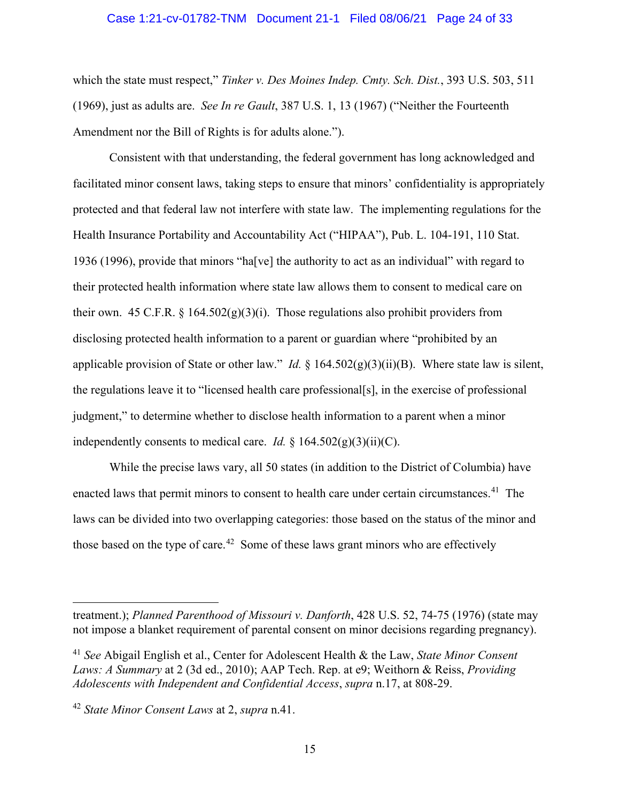#### <span id="page-23-2"></span><span id="page-23-0"></span>Case 1:21-cv-01782-TNM Document 21-1 Filed 08/06/21 Page 24 of 33

which the state must respect," *Tinker v. Des Moines Indep. Cmty. Sch. Dist.*, 393 U.S. 503, 511 (1969), just as adults are. *See In re Gault*, 387 U.S. 1, 13 (1967) ("Neither the Fourteenth Amendment nor the Bill of Rights is for adults alone.").

<span id="page-23-4"></span><span id="page-23-3"></span>Consistent with that understanding, the federal government has long acknowledged and facilitated minor consent laws, taking steps to ensure that minors' confidentiality is appropriately protected and that federal law not interfere with state law. The implementing regulations for the Health Insurance Portability and Accountability Act ("HIPAA"), Pub. L. 104-191, 110 Stat. 1936 (1996), provide that minors "ha[ve] the authority to act as an individual" with regard to their protected health information where state law allows them to consent to medical care on their own. 45 C.F.R.  $\S 164.502(g)(3)(i)$ . Those regulations also prohibit providers from disclosing protected health information to a parent or guardian where "prohibited by an applicable provision of State or other law." *Id.* § 164.502(g)(3)(ii)(B). Where state law is silent, the regulations leave it to "licensed health care professional[s], in the exercise of professional judgment," to determine whether to disclose health information to a parent when a minor independently consents to medical care. *Id.*  $\S 164.502(g)(3)(ii)(C)$ .

While the precise laws vary, all 50 states (in addition to the District of Columbia) have enacted laws that permit minors to consent to health care under certain circumstances.<sup>[41](#page-23-5)</sup> The laws can be divided into two overlapping categories: those based on the status of the minor and those based on the type of care.<sup>42</sup> Some of these laws grant minors who are effectively

<span id="page-23-1"></span>treatment.); *Planned Parenthood of Missouri v. Danforth*, 428 U.S. 52, 74-75 (1976) (state may not impose a blanket requirement of parental consent on minor decisions regarding pregnancy).

<span id="page-23-5"></span><sup>41</sup> *See* Abigail English et al., Center for Adolescent Health & the Law, *State Minor Consent Laws: A Summary* at 2 (3d ed., 2010); AAP Tech. Rep. at e9; Weithorn & Reiss, *Providing Adolescents with Independent and Confidential Access*, *supra* n.17, at 808-29.

<span id="page-23-6"></span><sup>42</sup> *State Minor Consent Laws* at 2, *supra* n.41.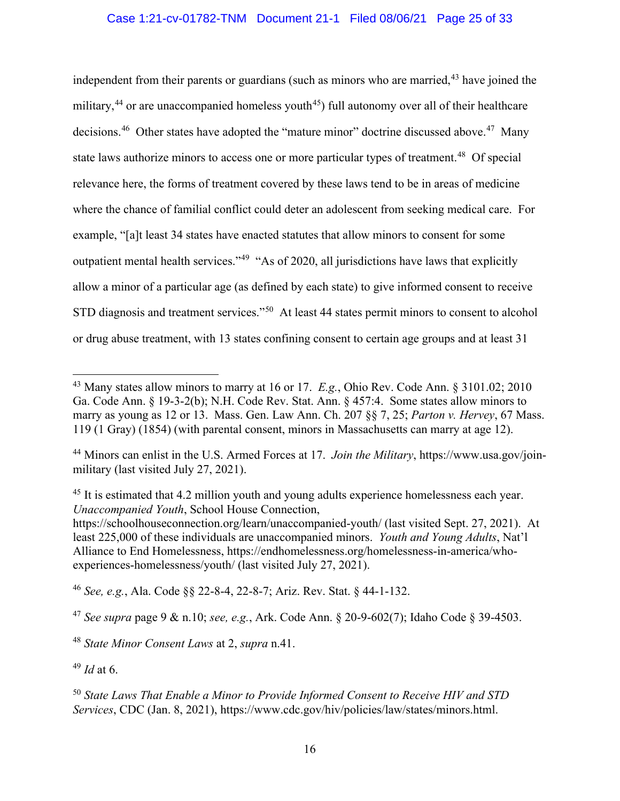independent from their parents or guardians (such as minors who are married, $43$  have joined the military,<sup>[44](#page-24-13)</sup> or are unaccompanied homeless youth<sup>[45](#page-24-14)</sup>) full autonomy over all of their healthcare decisions.<sup>[46](#page-24-15)</sup> Other states have adopted the "mature minor" doctrine discussed above.<sup>[47](#page-24-16)</sup> Many state laws authorize minors to access one or more particular types of treatment.<sup>[48](#page-24-17)</sup> Of special relevance here, the forms of treatment covered by these laws tend to be in areas of medicine where the chance of familial conflict could deter an adolescent from seeking medical care. For example, "[a]t least 34 states have enacted statutes that allow minors to consent for some outpatient mental health services."<sup>[49](#page-24-18)</sup> "As of 2020, all jurisdictions have laws that explicitly allow a minor of a particular age (as defined by each state) to give informed consent to receive STD diagnosis and treatment services."<sup>[50](#page-24-19)</sup> At least 44 states permit minors to consent to alcohol or drug abuse treatment, with 13 states confining consent to certain age groups and at least 31

<span id="page-24-15"></span><span id="page-24-2"></span><span id="page-24-1"></span><sup>46</sup> *See, e.g.*, Ala. Code §§ 22-8-4, 22-8-7; Ariz. Rev. Stat. § 44-1-132.

<span id="page-24-16"></span><span id="page-24-5"></span><span id="page-24-3"></span><sup>47</sup> *See supra* page 9 & n.10; *see, e.g.*, Ark. Code Ann. § 20-9-602(7); Idaho Code § 39-4503.

<span id="page-24-18"></span><sup>49</sup> *Id* at 6.

<span id="page-24-12"></span><span id="page-24-8"></span><span id="page-24-7"></span><span id="page-24-6"></span><span id="page-24-4"></span><span id="page-24-0"></span><sup>43</sup> Many states allow minors to marry at 16 or 17. *E.g.*, Ohio Rev. Code Ann. § 3101.02; 2010 Ga. Code Ann. § 19-3-2(b); N.H. Code Rev. Stat. Ann. § 457:4. Some states allow minors to marry as young as 12 or 13. Mass. Gen. Law Ann. Ch. 207 §§ 7, 25; *Parton v. Hervey*, 67 Mass. 119 (1 Gray) (1854) (with parental consent, minors in Massachusetts can marry at age 12).

<span id="page-24-13"></span><sup>44</sup> Minors can enlist in the U.S. Armed Forces at 17. *Join the Military*, https://www.usa.gov/joinmilitary (last visited July 27, 2021).

<span id="page-24-14"></span><span id="page-24-10"></span><sup>&</sup>lt;sup>45</sup> It is estimated that 4.2 million youth and young adults experience homelessness each year. *Unaccompanied Youth*, School House Connection,

<span id="page-24-11"></span>https://schoolhouseconnection.org/learn/unaccompanied-youth/ (last visited Sept. 27, 2021). At least 225,000 of these individuals are unaccompanied minors. *Youth and Young Adults*, Nat'l Alliance to End Homelessness, https://endhomelessness.org/homelessness-in-america/whoexperiences-homelessness/youth/ (last visited July 27, 2021).

<span id="page-24-17"></span><sup>48</sup> *State Minor Consent Laws* at 2, *supra* n.41.

<span id="page-24-19"></span><span id="page-24-9"></span><sup>50</sup> *State Laws That Enable a Minor to Provide Informed Consent to Receive HIV and STD Services*, CDC (Jan. 8, 2021), https://www.cdc.gov/hiv/policies/law/states/minors.html.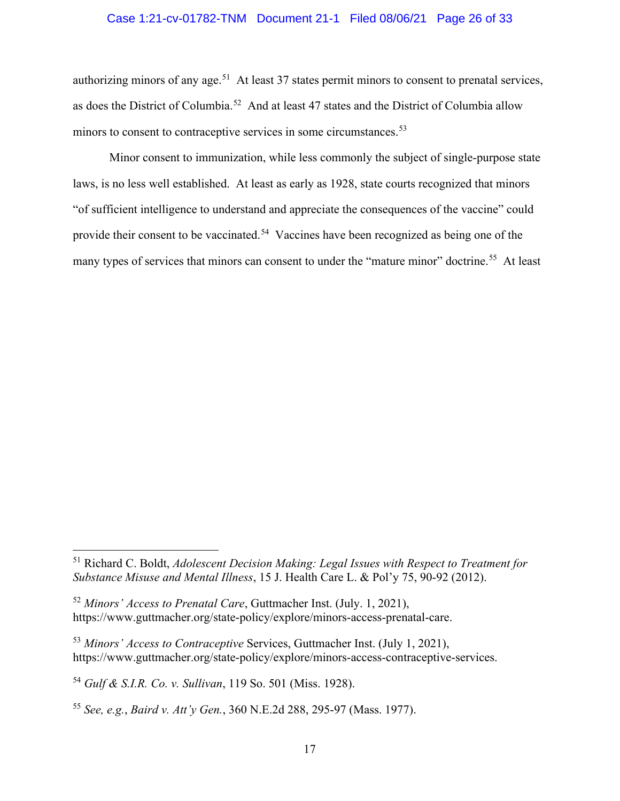#### Case 1:21-cv-01782-TNM Document 21-1 Filed 08/06/21 Page 26 of 33

authorizing minors of any age.<sup>51</sup> At least 37 states permit minors to consent to prenatal services, as does the District of Columbia.[52](#page-25-6) And at least 47 states and the District of Columbia allow minors to consent to contraceptive services in some circumstances.<sup>[53](#page-25-7)</sup>

Minor consent to immunization, while less commonly the subject of single-purpose state laws, is no less well established. At least as early as 1928, state courts recognized that minors "of sufficient intelligence to understand and appreciate the consequences of the vaccine" could provide their consent to be vaccinated.<sup>54</sup> Vaccines have been recognized as being one of the many types of services that minors can consent to under the "mature minor" doctrine.<sup>[55](#page-25-9)</sup> At least

<span id="page-25-5"></span><span id="page-25-4"></span><sup>51</sup> Richard C. Boldt, *Adolescent Decision Making: Legal Issues with Respect to Treatment for Substance Misuse and Mental Illness*, 15 J. Health Care L. & Pol'y 75, 90-92 (2012).

<span id="page-25-6"></span><span id="page-25-3"></span><sup>52</sup> *Minors' Access to Prenatal Care*, Guttmacher Inst. (July. 1, 2021), https://www.guttmacher.org/state-policy/explore/minors-access-prenatal-care.

<span id="page-25-7"></span><span id="page-25-2"></span><sup>53</sup> *Minors' Access to Contraceptive* Services, Guttmacher Inst. (July 1, 2021), https://www.guttmacher.org/state-policy/explore/minors-access-contraceptive-services.

<span id="page-25-8"></span><span id="page-25-1"></span><sup>54</sup> *Gulf & S.I.R. Co. v. Sullivan*, 119 So. 501 (Miss. 1928).

<span id="page-25-9"></span><span id="page-25-0"></span><sup>55</sup> *See, e.g.*, *Baird v. Att'y Gen.*, 360 N.E.2d 288, 295-97 (Mass. 1977).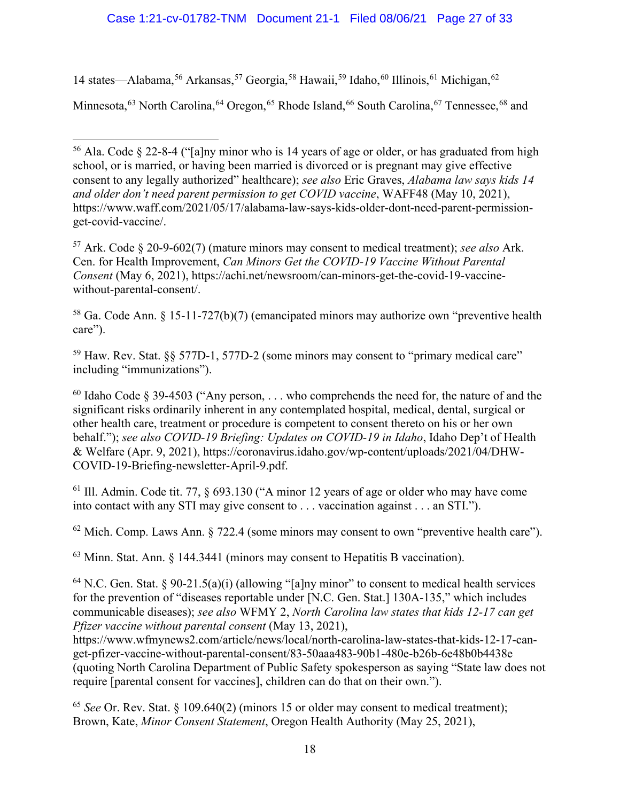## Case 1:21-cv-01782-TNM Document 21-1 Filed 08/06/21 Page 27 of 33

14 states—Alabama,<sup>[56](#page-26-15)</sup> Arkansas,<sup>[57](#page-26-16)</sup> Georgia,<sup>[58](#page-26-17)</sup> Hawaii,<sup>[59](#page-26-18)</sup> Idaho,<sup>[60](#page-26-19)</sup> Illinois,<sup>[61](#page-26-20)</sup> Michigan,<sup>[62](#page-26-21)</sup>

Minnesota,<sup>[63](#page-26-22)</sup> North Carolina, <sup>[64](#page-26-23)</sup> Oregon, <sup>[65](#page-26-24)</sup> Rhode Island, <sup>[66](#page-26-25)</sup> South Carolina, <sup>[67](#page-26-26)</sup> Tennessee, <sup>[68](#page-26-27)</sup> and

<span id="page-26-16"></span><span id="page-26-10"></span><span id="page-26-1"></span><sup>57</sup> Ark. Code § 20-9-602(7) (mature minors may consent to medical treatment); *see also* Ark. Cen. for Health Improvement, *Can Minors Get the COVID-19 Vaccine Without Parental Consent* (May 6, 2021), https://achi.net/newsroom/can-minors-get-the-covid-19-vaccinewithout-parental-consent/.

<span id="page-26-17"></span><span id="page-26-2"></span><sup>58</sup> Ga. Code Ann.  $\frac{5}{3}$  15-11-727(b)(7) (emancipated minors may authorize own "preventive health care").

<span id="page-26-25"></span><span id="page-26-18"></span><span id="page-26-3"></span> $59$  Haw. Rev. Stat.  $\S$  577D-1, 577D-2 (some minors may consent to "primary medical care" including "immunizations").

<span id="page-26-26"></span><span id="page-26-19"></span><span id="page-26-12"></span><span id="page-26-4"></span> $60$  Idaho Code § 39-4503 ("Any person, ... who comprehends the need for, the nature of and the significant risks ordinarily inherent in any contemplated hospital, medical, dental, surgical or other health care, treatment or procedure is competent to consent thereto on his or her own behalf."); *see also COVID-19 Briefing: Updates on COVID-19 in Idaho*, Idaho Dep't of Health & Welfare (Apr. 9, 2021), https://coronavirus.idaho.gov/wp-content/uploads/2021/04/DHW-COVID-19-Briefing-newsletter-April-9.pdf.

<span id="page-26-20"></span><span id="page-26-5"></span> $<sup>61</sup>$  Ill. Admin. Code tit. 77, § 693.130 ("A minor 12 years of age or older who may have come</sup> into contact with any STI may give consent to . . . vaccination against . . . an STI.").

<span id="page-26-21"></span><span id="page-26-6"></span> $62$  Mich. Comp. Laws Ann.  $\S$  722.4 (some minors may consent to own "preventive health care").

<span id="page-26-27"></span><span id="page-26-22"></span><span id="page-26-7"></span><sup>63</sup> Minn. Stat. Ann. § 144.3441 (minors may consent to Hepatitis B vaccination).

<span id="page-26-23"></span><span id="page-26-14"></span><span id="page-26-8"></span><sup>64</sup> N.C. Gen. Stat. § 90-21.5(a)(i) (allowing "[a]ny minor" to consent to medical health services for the prevention of "diseases reportable under [N.C. Gen. Stat.] 130A-135," which includes communicable diseases); *see also* WFMY 2, *North Carolina law states that kids 12-17 can get Pfizer vaccine without parental consent* (May 13, 2021),

https://www.wfmynews2.com/article/news/local/north-carolina-law-states-that-kids-12-17-canget-pfizer-vaccine-without-parental-consent/83-50aaa483-90b1-480e-b26b-6e48b0b4438e (quoting North Carolina Department of Public Safety spokesperson as saying "State law does not require [parental consent for vaccines], children can do that on their own.").

<span id="page-26-24"></span><span id="page-26-11"></span><span id="page-26-9"></span><sup>65</sup> *See* Or. Rev. Stat. § 109.640(2) (minors 15 or older may consent to medical treatment); Brown, Kate, *Minor Consent Statement*, Oregon Health Authority (May 25, 2021),

<span id="page-26-15"></span><span id="page-26-13"></span><span id="page-26-0"></span><sup>56</sup> Ala. Code § 22-8-4 ("[a]ny minor who is 14 years of age or older, or has graduated from high school, or is married, or having been married is divorced or is pregnant may give effective consent to any legally authorized" healthcare); *see also* Eric Graves, *Alabama law says kids 14 and older don't need parent permission to get COVID vaccine*, WAFF48 (May 10, 2021), https://www.waff.com/2021/05/17/alabama-law-says-kids-older-dont-need-parent-permissionget-covid-vaccine/.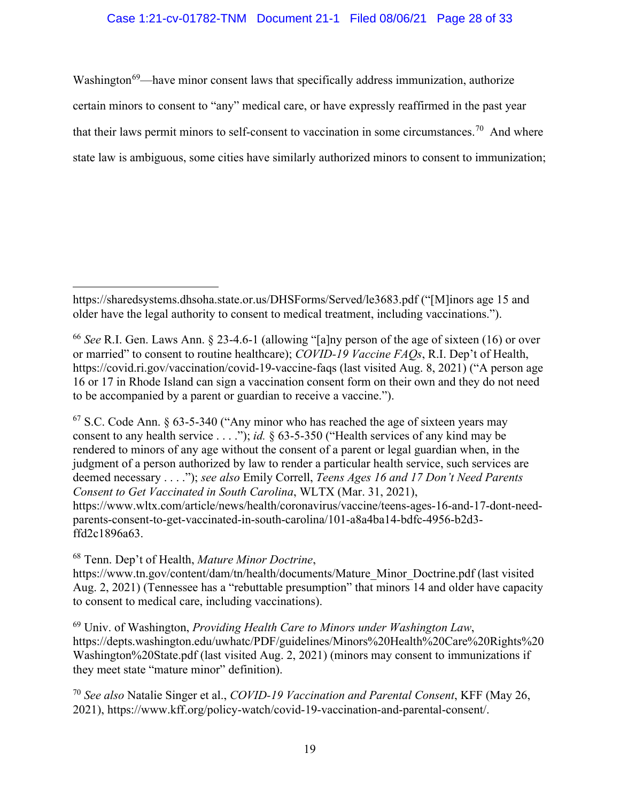## Case 1:21-cv-01782-TNM Document 21-1 Filed 08/06/21 Page 28 of 33

Washington<sup>69</sup>—have minor consent laws that specifically address immunization, authorize certain minors to consent to "any" medical care, or have expressly reaffirmed in the past year that their laws permit minors to self-consent to vaccination in some circumstances.<sup>[70](#page-27-9)</sup> And where state law is ambiguous, some cities have similarly authorized minors to consent to immunization;

<span id="page-27-4"></span><span id="page-27-1"></span> $67$  S.C. Code Ann. § 63-5-340 ("Any minor who has reached the age of sixteen years may consent to any health service . . . ."); *id.* § 63-5-350 ("Health services of any kind may be rendered to minors of any age without the consent of a parent or legal guardian when, in the judgment of a person authorized by law to render a particular health service, such services are deemed necessary . . . ."); *see also* Emily Correll, *Teens Ages 16 and 17 Don't Need Parents Consent to Get Vaccinated in South Carolina*, WLTX (Mar. 31, 2021), https://www.wltx.com/article/news/health/coronavirus/vaccine/teens-ages-16-and-17-dont-needparents-consent-to-get-vaccinated-in-south-carolina/101-a8a4ba14-bdfc-4956-b2d3 ffd2c1896a63.

<span id="page-27-6"></span><sup>68</sup> Tenn. Dep't of Health, *Mature Minor Doctrine*,

https://www.tn.gov/content/dam/tn/health/documents/Mature\_Minor\_Doctrine.pdf (last visited Aug. 2, 2021) (Tennessee has a "rebuttable presumption" that minors 14 and older have capacity to consent to medical care, including vaccinations).

<span id="page-27-8"></span><span id="page-27-7"></span><sup>69</sup> Univ. of Washington, *Providing Health Care to Minors under Washington Law*, https://depts.washington.edu/uwhatc/PDF/guidelines/Minors%20Health%20Care%20Rights%20 Washington%20State.pdf (last visited Aug. 2, 2021) (minors may consent to immunizations if they meet state "mature minor" definition).

<span id="page-27-9"></span><span id="page-27-5"></span><sup>70</sup> *See also* Natalie Singer et al., *COVID-19 Vaccination and Parental Consent*, KFF (May 26, 2021), https://www.kff.org/policy-watch/covid-19-vaccination-and-parental-consent/.

https://sharedsystems.dhsoha.state.or.us/DHSForms/Served/le3683.pdf ("[M]inors age 15 and older have the legal authority to consent to medical treatment, including vaccinations.").

<span id="page-27-3"></span><span id="page-27-2"></span><span id="page-27-0"></span><sup>66</sup> *See* R.I. Gen. Laws Ann. § 23-4.6-1 (allowing "[a]ny person of the age of sixteen (16) or over or married" to consent to routine healthcare); *COVID-19 Vaccine FAQs*, R.I. Dep't of Health, https://covid.ri.gov/vaccination/covid-19-vaccine-faqs (last visited Aug. 8, 2021) ("A person age 16 or 17 in Rhode Island can sign a vaccination consent form on their own and they do not need to be accompanied by a parent or guardian to receive a vaccine.").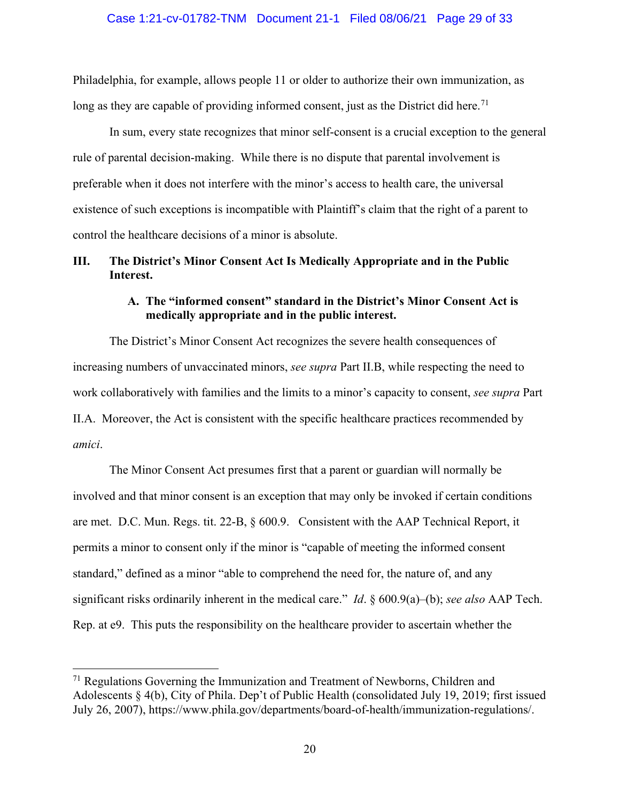#### Case 1:21-cv-01782-TNM Document 21-1 Filed 08/06/21 Page 29 of 33

Philadelphia, for example, allows people 11 or older to authorize their own immunization, as long as they are capable of providing informed consent, just as the District did here.<sup>[71](#page-28-3)</sup>

In sum, every state recognizes that minor self-consent is a crucial exception to the general rule of parental decision-making. While there is no dispute that parental involvement is preferable when it does not interfere with the minor's access to health care, the universal existence of such exceptions is incompatible with Plaintiff's claim that the right of a parent to control the healthcare decisions of a minor is absolute.

## <span id="page-28-1"></span><span id="page-28-0"></span>**III. The District's Minor Consent Act Is Medically Appropriate and in the Public Interest.**

## **A. The "informed consent" standard in the District's Minor Consent Act is medically appropriate and in the public interest.**

The District's Minor Consent Act recognizes the severe health consequences of increasing numbers of unvaccinated minors, *see supra* Part II.B, while respecting the need to work collaboratively with families and the limits to a minor's capacity to consent, *see supra* Part II.A. Moreover, the Act is consistent with the specific healthcare practices recommended by *amici*.

<span id="page-28-2"></span>The Minor Consent Act presumes first that a parent or guardian will normally be involved and that minor consent is an exception that may only be invoked if certain conditions are met. D.C. Mun. Regs. tit. 22-B, § 600.9. Consistent with the AAP Technical Report, it permits a minor to consent only if the minor is "capable of meeting the informed consent standard," defined as a minor "able to comprehend the need for, the nature of, and any significant risks ordinarily inherent in the medical care." *Id*. § 600.9(a)–(b); *see also* AAP Tech. Rep. at e9. This puts the responsibility on the healthcare provider to ascertain whether the

<span id="page-28-3"></span> $71$  Regulations Governing the Immunization and Treatment of Newborns, Children and Adolescents § 4(b), City of Phila. Dep't of Public Health (consolidated July 19, 2019; first issued July 26, 2007), https://www.phila.gov/departments/board-of-health/immunization-regulations/.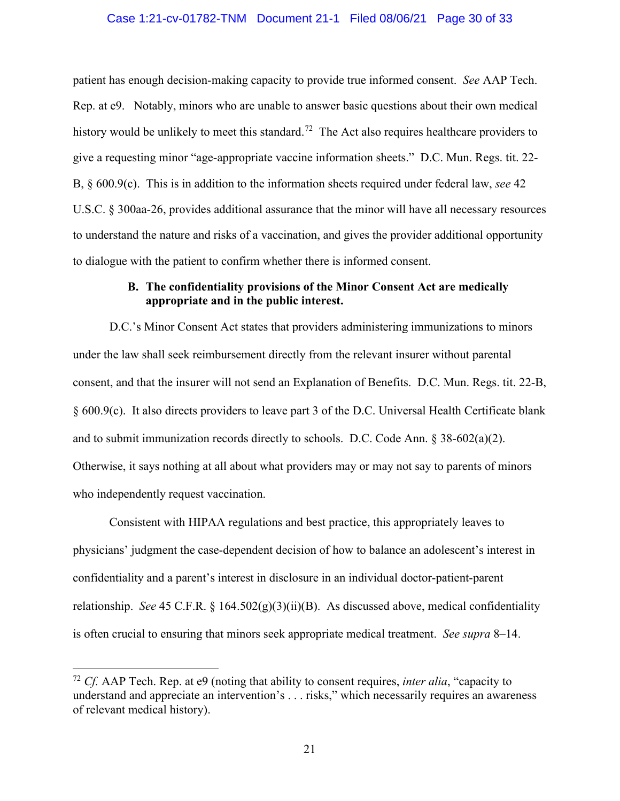#### Case 1:21-cv-01782-TNM Document 21-1 Filed 08/06/21 Page 30 of 33

patient has enough decision-making capacity to provide true informed consent. *See* AAP Tech. Rep. at e9. Notably, minors who are unable to answer basic questions about their own medical history would be unlikely to meet this standard.<sup>[72](#page-29-3)</sup> The Act also requires healthcare providers to give a requesting minor "age-appropriate vaccine information sheets." D.C. Mun. Regs. tit. 22- B, § 600.9(c). This is in addition to the information sheets required under federal law, *see* 42 U.S.C. § 300aa-26, provides additional assurance that the minor will have all necessary resources to understand the nature and risks of a vaccination, and gives the provider additional opportunity to dialogue with the patient to confirm whether there is informed consent.

## <span id="page-29-2"></span><span id="page-29-1"></span>**B. The confidentiality provisions of the Minor Consent Act are medically appropriate and in the public interest.**

<span id="page-29-0"></span>D.C.'s Minor Consent Act states that providers administering immunizations to minors under the law shall seek reimbursement directly from the relevant insurer without parental consent, and that the insurer will not send an Explanation of Benefits. D.C. Mun. Regs. tit. 22-B, § 600.9(c). It also directs providers to leave part 3 of the D.C. Universal Health Certificate blank and to submit immunization records directly to schools. D.C. Code Ann. § 38-602(a)(2). Otherwise, it says nothing at all about what providers may or may not say to parents of minors who independently request vaccination.

Consistent with HIPAA regulations and best practice, this appropriately leaves to physicians' judgment the case-dependent decision of how to balance an adolescent's interest in confidentiality and a parent's interest in disclosure in an individual doctor-patient-parent relationship. *See* 45 C.F.R. § 164.502(g)(3)(ii)(B). As discussed above, medical confidentiality is often crucial to ensuring that minors seek appropriate medical treatment. *See supra* 8–14.

<span id="page-29-3"></span><sup>72</sup> *Cf.* AAP Tech. Rep. at e9 (noting that ability to consent requires, *inter alia*, "capacity to understand and appreciate an intervention's . . . risks," which necessarily requires an awareness of relevant medical history).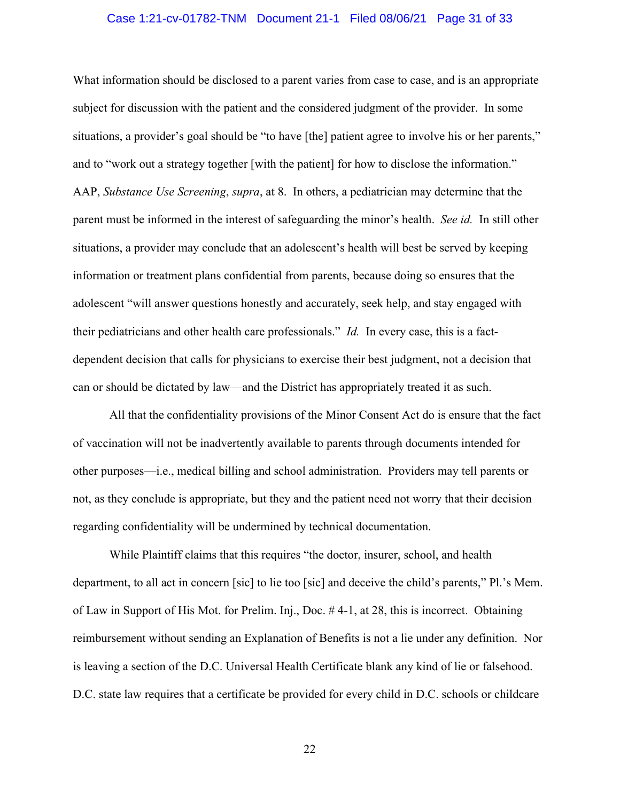#### Case 1:21-cv-01782-TNM Document 21-1 Filed 08/06/21 Page 31 of 33

What information should be disclosed to a parent varies from case to case, and is an appropriate subject for discussion with the patient and the considered judgment of the provider. In some situations, a provider's goal should be "to have [the] patient agree to involve his or her parents," and to "work out a strategy together [with the patient] for how to disclose the information." AAP, *Substance Use Screening*, *supra*, at 8. In others, a pediatrician may determine that the parent must be informed in the interest of safeguarding the minor's health. *See id.* In still other situations, a provider may conclude that an adolescent's health will best be served by keeping information or treatment plans confidential from parents, because doing so ensures that the adolescent "will answer questions honestly and accurately, seek help, and stay engaged with their pediatricians and other health care professionals." *Id.* In every case, this is a factdependent decision that calls for physicians to exercise their best judgment, not a decision that can or should be dictated by law—and the District has appropriately treated it as such.

All that the confidentiality provisions of the Minor Consent Act do is ensure that the fact of vaccination will not be inadvertently available to parents through documents intended for other purposes—i.e., medical billing and school administration. Providers may tell parents or not, as they conclude is appropriate, but they and the patient need not worry that their decision regarding confidentiality will be undermined by technical documentation.

While Plaintiff claims that this requires "the doctor, insurer, school, and health department, to all act in concern [sic] to lie too [sic] and deceive the child's parents," Pl.'s Mem. of Law in Support of His Mot. for Prelim. Inj., Doc. # 4-1, at 28, this is incorrect. Obtaining reimbursement without sending an Explanation of Benefits is not a lie under any definition. Nor is leaving a section of the D.C. Universal Health Certificate blank any kind of lie or falsehood. D.C. state law requires that a certificate be provided for every child in D.C. schools or childcare

22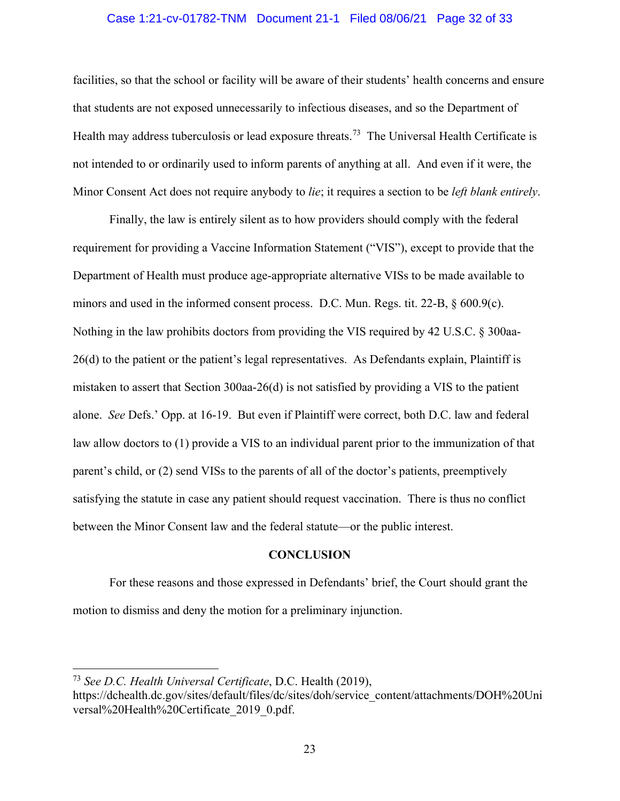#### Case 1:21-cv-01782-TNM Document 21-1 Filed 08/06/21 Page 32 of 33

facilities, so that the school or facility will be aware of their students' health concerns and ensure that students are not exposed unnecessarily to infectious diseases, and so the Department of Health may address tuberculosis or lead exposure threats.<sup>[73](#page-31-1)</sup> The Universal Health Certificate is not intended to or ordinarily used to inform parents of anything at all. And even if it were, the Minor Consent Act does not require anybody to *lie*; it requires a section to be *left blank entirely*.

Finally, the law is entirely silent as to how providers should comply with the federal requirement for providing a Vaccine Information Statement ("VIS"), except to provide that the Department of Health must produce age-appropriate alternative VISs to be made available to minors and used in the informed consent process. D.C. Mun. Regs. tit. 22-B, § 600.9(c). Nothing in the law prohibits doctors from providing the VIS required by 42 U.S.C. § 300aa-26(d) to the patient or the patient's legal representatives. As Defendants explain, Plaintiff is mistaken to assert that Section 300aa-26(d) is not satisfied by providing a VIS to the patient alone. *See* Defs.' Opp. at 16-19. But even if Plaintiff were correct, both D.C. law and federal law allow doctors to (1) provide a VIS to an individual parent prior to the immunization of that parent's child, or (2) send VISs to the parents of all of the doctor's patients, preemptively satisfying the statute in case any patient should request vaccination. There is thus no conflict between the Minor Consent law and the federal statute—or the public interest.

#### **CONCLUSION**

For these reasons and those expressed in Defendants' brief, the Court should grant the motion to dismiss and deny the motion for a preliminary injunction.

<span id="page-31-1"></span><span id="page-31-0"></span><sup>73</sup> *See D.C. Health Universal Certificate*, D.C. Health (2019), https://dchealth.dc.gov/sites/default/files/dc/sites/doh/service\_content/attachments/DOH%20Uni versal%20Health%20Certificate\_2019\_0.pdf.